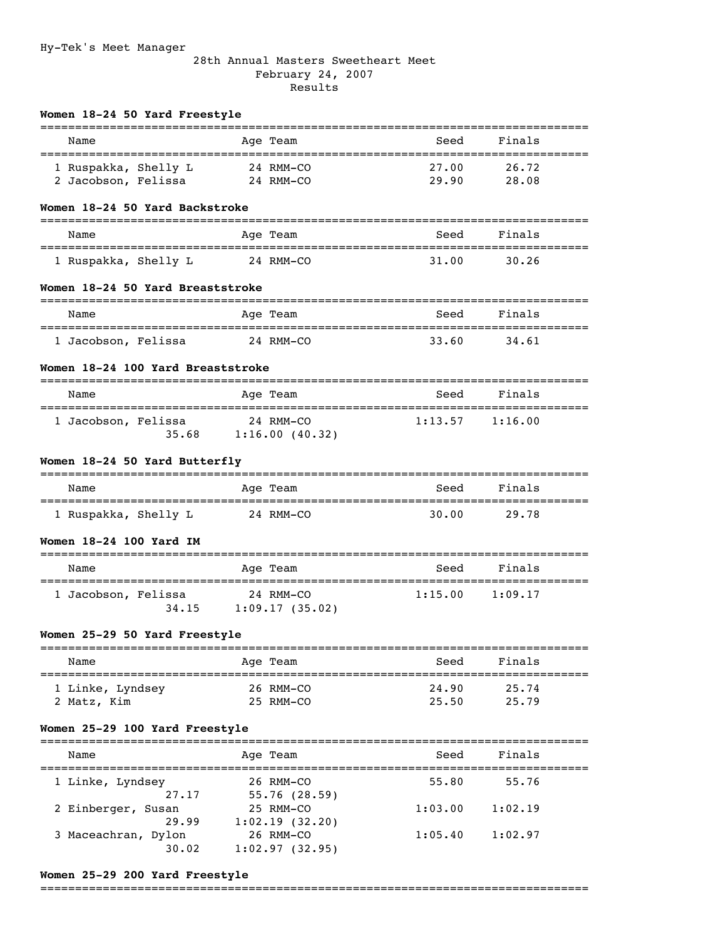### 28th Annual Masters Sweetheart Meet February 24, 2007 Results

| Name                                        |           | Age Team                             | Seed           | Finals                 |
|---------------------------------------------|-----------|--------------------------------------|----------------|------------------------|
| 1 Ruspakka, Shelly L<br>2 Jacobson, Felissa |           | 24 RMM-CO<br>24 RMM-CO               | 27.00<br>29.90 | 26.72<br>28.08         |
| Women 18-24 50 Yard Backstroke              |           |                                      |                |                        |
| Name                                        |           | Age Team                             | Seed           | Finals                 |
| 1 Ruspakka, Shelly L                        |           | 24 RMM-CO                            | 31.00          | 30.26                  |
| Women 18-24 50 Yard Breaststroke            |           |                                      |                |                        |
| Name                                        |           | Age Team                             | Seed           | Finals                 |
| ==============<br>1 Jacobson, Felissa       | 24 RMM-CO |                                      | 33.60          | 34.61                  |
| Women 18-24 100 Yard Breaststroke           |           |                                      |                |                        |
| Name                                        |           | Age Team                             | Seed           | Finals                 |
| 1 Jacobson, Felissa                         |           | 24 RMM-CO<br>$35.68$ 1:16.00 (40.32) | 1:13.57        | 1:16.00                |
|                                             |           |                                      |                |                        |
| Women 18-24 50 Yard Butterfly               |           |                                      |                |                        |
| Name                                        |           | Age Team                             | Seed           | Finals                 |
| 1 Ruspakka, Shelly L                        | 24 RMM-CO |                                      | 30.00          | 29.78                  |
| Women 18-24 100 Yard IM                     |           |                                      |                |                        |
| ==========<br>Name                          |           | Age Team                             | Seed           | Finals                 |
| 1 Jacobson, Felissa<br>34.15                |           | 24 RMM-CO<br>1:09.17(35.02)          | 1:15.00        | 1:09.17                |
| Women 25-29 50 Yard Freestyle               |           |                                      |                |                        |
| Name                                        |           | ========<br>Age Team                 | Seed           | ============<br>Finals |
| 1 Linke, Lyndsey<br>2 Matz, Kim             |           | 26 RMM-CO<br>25 RMM-CO               | 24.90<br>25.50 | 25.74<br>25.79         |

Name **Age Team** Seed Finals =============================================================================== 1 Linke, Lyndsey 26 RMM-CO 55.80 55.76  $27.17$   $55.76$  (28.59) 2 Einberger, Susan 25 RMM-CO 1:03.00 1:02.19 29.99 1:02.19 (32.20) 3 Maceachran, Dylon 26 RMM-CO 1:05.40 1:02.97 30.02 1:02.97 (32.95)

### **Women 25-29 200 Yard Freestyle**

===============================================================================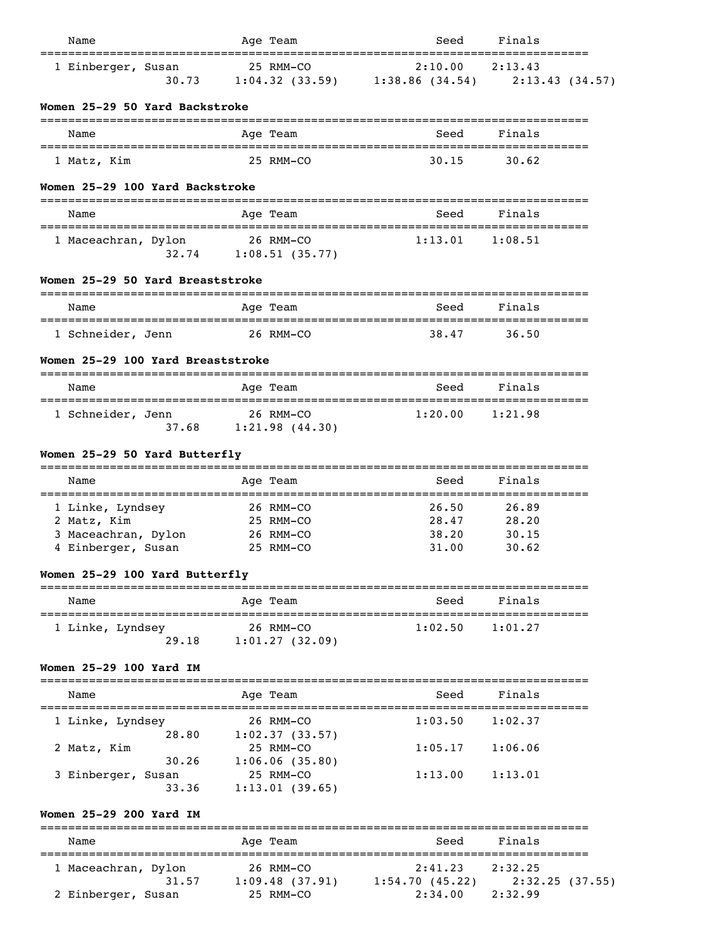| Name                                      |                |           | Age Team                                      | Seed                                         | Finals                    |  |
|-------------------------------------------|----------------|-----------|-----------------------------------------------|----------------------------------------------|---------------------------|--|
| 1 Einberger, Susan                        | 30.73          |           | 25 RMM-CO                                     | 2:10.00<br>$1:04.32$ (33.59) 1:38.86 (34.54) | 2:13.43<br>2:13.43(34.57) |  |
| Women 25-29 50 Yard Backstroke            |                |           |                                               |                                              |                           |  |
| Name                                      |                |           | Age Team                                      | Seed                                         | Finals                    |  |
| 1 Matz, Kim                               |                |           | 25 RMM-CO                                     | 30.15                                        | 30.62                     |  |
| Women 25-29 100 Yard Backstroke           |                |           |                                               |                                              |                           |  |
| Name                                      |                |           | Age Team                                      | Seed                                         | Finals                    |  |
| 1 Maceachran, Dylon                       | 32.74          | 26 RMM-CO | 1:08.51(35.77)                                | 1:13.01                                      | 1:08.51                   |  |
| Women 25-29 50 Yard Breaststroke          |                |           | --------                                      |                                              |                           |  |
| Name<br>==========================        |                |           | Age Team<br>_________________________         | Seed<br>__________________________________   | Finals                    |  |
| 1 Schneider, Jenn                         |                | 26 RMM-CO |                                               | 38.47                                        | 36.50                     |  |
| Women 25-29 100 Yard Breaststroke         |                |           |                                               |                                              |                           |  |
| Name                                      |                |           | Age Team                                      | Seed                                         | Finals                    |  |
|                                           |                |           |                                               |                                              |                           |  |
| 1 Schneider, Jenn                         | 37.68          |           | 26 RMM-CO<br>1:21.98(44.30)                   | 1:20.00                                      | 1:21.98                   |  |
| Women 25-29 50 Yard Butterfly             |                |           |                                               |                                              |                           |  |
| Name                                      |                |           | Age Team                                      | =============================<br>Seed        | Finals                    |  |
| 1 Linke, Lyndsey                          |                | 26 RMM-CO |                                               | 26.50                                        | 26.89                     |  |
| 2 Matz, Kim                               |                |           | 25 RMM-CO                                     | 28.47                                        | 28.20                     |  |
| 3 Maceachran, Dylon<br>4 Einberger, Susan |                |           | 26 RMM-CO<br>25 RMM-CO                        | 38.20<br>31.00                               | 30.15<br>30.62            |  |
| Women 25-29 100 Yard Butterfly            |                |           |                                               |                                              |                           |  |
| Name                                      |                |           | -------<br>Age Team                           | Seed                                         | Finals                    |  |
| 1 Linke, Lyndsey                          | 29.18          |           | 26 RMM-CO<br>1:01.27(32.09)                   | 1:02.50                                      | 1:01.27                   |  |
| Women 25-29 100 Yard IM                   |                |           |                                               |                                              |                           |  |
| Name                                      |                |           | Age Team                                      | Seed                                         | Finals                    |  |
| l Linke, Lyndsey                          |                |           | 26 RMM-CO                                     | 1:03.50                                      | 1:02.37                   |  |
| 2 Matz, Kim                               | 28.80<br>30.26 |           | 1:02.37(33.57)<br>25 RMM-CO<br>1:06.06(35.80) | 1:05.17                                      | 1:06.06                   |  |

=============================================================================== Name Age Team Seed Finals =============================================================================== 1 Maceachran, Dylon 26 RMM-CO 31.57 1:09.48 (37.91) 1:54.70 (45.22) 2:32.25 (37.55) 2 Einberger, Susan 25 RMM-CO 2:34.00 2:32.99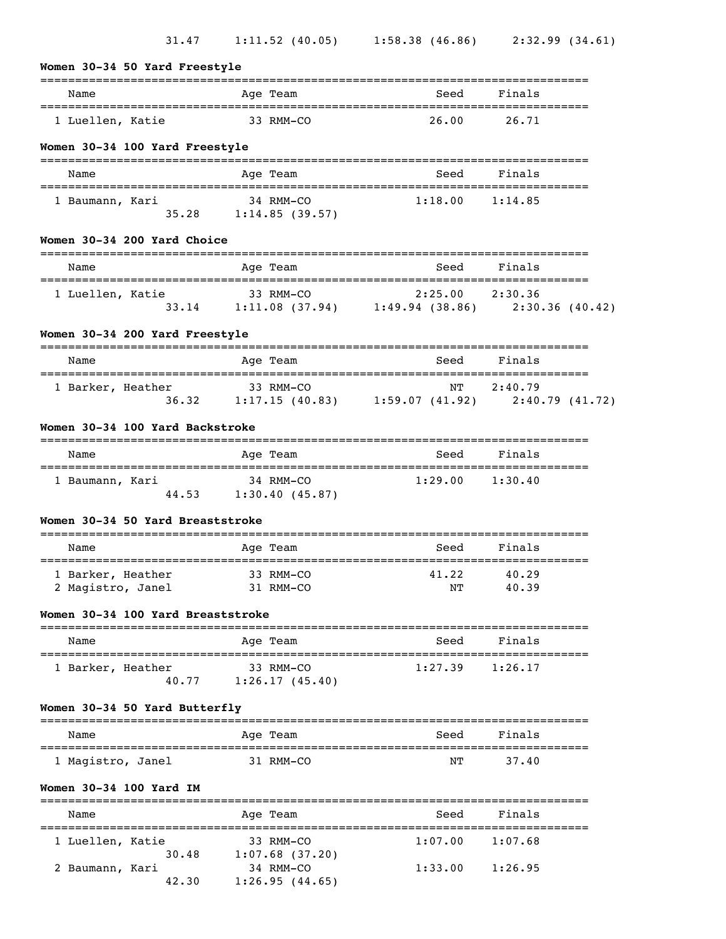| Women 30-34 50 Yard Freestyle                       |                                                                    |                     |                |  |
|-----------------------------------------------------|--------------------------------------------------------------------|---------------------|----------------|--|
| Name                                                | Age Team                                                           | Seed                | Finals         |  |
| 1 Luellen, Katie                                    | 33 RMM-CO                                                          | 26.00               | 26.71          |  |
| Women 30-34 100 Yard Freestyle                      |                                                                    |                     |                |  |
| Name                                                | Age Team                                                           | Seed                | Finals         |  |
| 1 Baumann, Kari                                     | 34 RMM-CO<br>35.28 1:14.85 (39.57)                                 | 1:18.00             | 1:14.85        |  |
| Women 30-34 200 Yard Choice                         |                                                                    |                     |                |  |
| Name                                                | Age Team                                                           | Seed                | Finals         |  |
| 1 Luellen, Katie                                    | 33 RMM-CO<br>33.14 1:11.08 (37.94) 1:49.94 (38.86) 2:30.36 (40.42) | $2:25.00$ $2:30.36$ |                |  |
| Women 30-34 200 Yard Freestyle                      |                                                                    |                     |                |  |
| Name                                                | Age Team                                                           | Seed                | Finals         |  |
| 1 Barker, Heather                                   | 33 RMM-CO<br>36.32 1:17.15 (40.83) 1:59.07 (41.92) 2:40.79 (41.72) | NT                  | 2:40.79        |  |
| Women 30-34 100 Yard Backstroke                     |                                                                    |                     |                |  |
| Name                                                | Age Team                                                           | Seed                | Finals         |  |
| 1 Baumann, Kari                                     | 34 RMM-CO<br>44.53 1:30.40 (45.87)                                 | $1:29.00$ $1:30.40$ |                |  |
| Women 30-34 50 Yard Breaststroke                    |                                                                    |                     |                |  |
| Name                                                | Age Team                                                           | Seed                | Finals         |  |
| 1 Barker, Heather<br>2 Magistro, Janel 31 RMM-CO NT | 33 RMM-CO                                                          | 41.22               | 40.29<br>40.39 |  |
| Women 30-34 100 Yard Breaststroke                   |                                                                    |                     |                |  |
| Name                                                | Age Team                                                           | Seed                | Finals         |  |
| 1 Barker, Heather<br>40.77                          | 33 RMM-CO<br>1:26.17(45.40)                                        | $1:27.39$ $1:26.17$ |                |  |
| Women 30-34 50 Yard Butterfly                       |                                                                    |                     |                |  |
| Name                                                | Age Team                                                           | Seed                | Finals         |  |
| 1 Magistro, Janel                                   | 31 RMM-CO                                                          | NΤ                  | 37.40          |  |
| Women 30-34 100 Yard IM                             |                                                                    |                     |                |  |
| Name                                                | Age Team                                                           | Seed                | Finals         |  |
| 1 Luellen, Katie                                    | 33 RMM-CO                                                          | 1:07.00             | 1:07.68        |  |
| 30.48<br>2 Baumann, Kari                            | $1:07.68$ (37.20)<br>34 RMM-CO                                     | $1:33.00$ $1:26.95$ |                |  |

42.30 1:26.95 (44.65)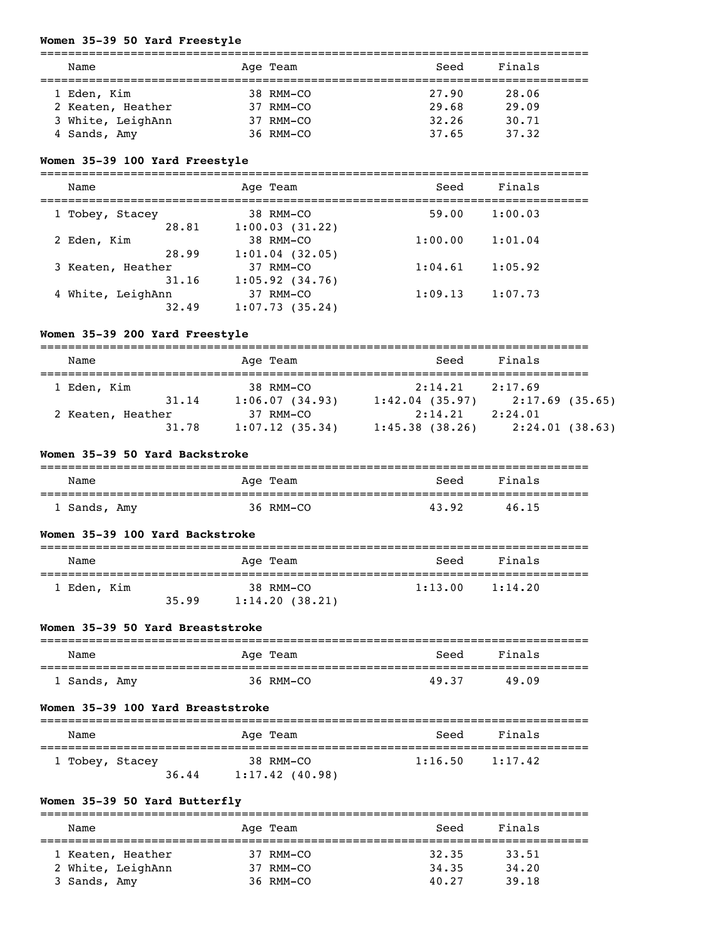## **Women 35-39 50 Yard Freestyle**

| Name              | Age Team       | Seed  | Finals |  |
|-------------------|----------------|-------|--------|--|
| 1 Eden, Kim       | 38 RMM-CO      | 27.90 | 28.06  |  |
| 2 Keaten, Heather | $37$ RMM $-CO$ | 29.68 | 29.09  |  |
| 3 White, LeighAnn | $37$ RMM $-CO$ | 32.26 | 30.71  |  |
| 4 Sands, Amy      | $36$ RMM $-CO$ | 37.65 | 37.32  |  |

## **Women 35-39 100 Yard Freestyle**

| Name              | Age Team          | Seed    | Finals  |  |
|-------------------|-------------------|---------|---------|--|
| 1 Tobey, Stacey   | 38 RMM-CO         | 59.00   | 1:00.03 |  |
| 28.81             | 1:00.03(31.22)    |         |         |  |
| 2 Eden, Kim       | 38 RMM-CO         | 1:00.00 | 1:01.04 |  |
| 28.99             | $1:01.04$ (32.05) |         |         |  |
| 3 Keaten, Heather | 37 RMM-CO         | 1:04.61 | 1:05.92 |  |
| 31.16             | 1:05.92(34.76)    |         |         |  |
| 4 White, LeighAnn | 37 RMM-CO         | 1:09.13 | 1:07.73 |  |
| 32.49             | 1:07.73(35.24)    |         |         |  |

#### **Women 35-39 200 Yard Freestyle**

| Name                       | Age Team                         | Seed                      | Finals                    |
|----------------------------|----------------------------------|---------------------------|---------------------------|
| 1 Eden, Kim                | $38$ RMM $-CO$                   | 2:14.21                   | 2:17.69                   |
| 31.14<br>2 Keaten, Heather | 1:06.07(34.93)<br>$37$ RMM $-CO$ | 1:42.04(35.97)<br>2:14.21 | 2:17.69(35.65)<br>2:24.01 |
| 31.78                      | 1:07.12(35.34)                   | 1:45.38(38.26)            | 2:24.01(38.63)            |

#### **Women 35-39 50 Yard Backstroke**

| Name         | Age Team  | Seed  | Finals |  |
|--------------|-----------|-------|--------|--|
| 1 Sands, Amy | 36 RMM-CO | 43.92 | 46.15  |  |

#### **Women 35-39 100 Yard Backstroke**

| Name        |       | Age Team       | Seed    | Finals  |  |
|-------------|-------|----------------|---------|---------|--|
| 1 Eden, Kim |       | 38 RMM-CO      | 1:13.00 | 1:14.20 |  |
|             | 35.99 | 1:14.20(38.21) |         |         |  |

## **Women 35-39 50 Yard Breaststroke**

| Name         | Age Team  | Seed  | Finals |
|--------------|-----------|-------|--------|
| 1 Sands, Amy | 36 RMM-CO | 49.37 | 49.09  |

#### **Women 35-39 100 Yard Breaststroke**

| Name            |       | Age Team                       | Seed    | Finals  |
|-----------------|-------|--------------------------------|---------|---------|
| 1 Tobey, Stacey | 36.44 | 38 RMM-CO<br>$1:17.42$ (40.98) | 1:16.50 | 1:17.42 |

# **Women 35-39 50 Yard Butterfly**

| Name              | Age Team  | Seed  | Finals |  |
|-------------------|-----------|-------|--------|--|
| 1 Keaten, Heather | 37 RMM-CO | 32.35 | 33.51  |  |
| 2 White, LeighAnn | 37 RMM-CO | 34.35 | 34,20  |  |
| 3 Sands, Amy      | 36 RMM-CO | 40.27 | 39.18  |  |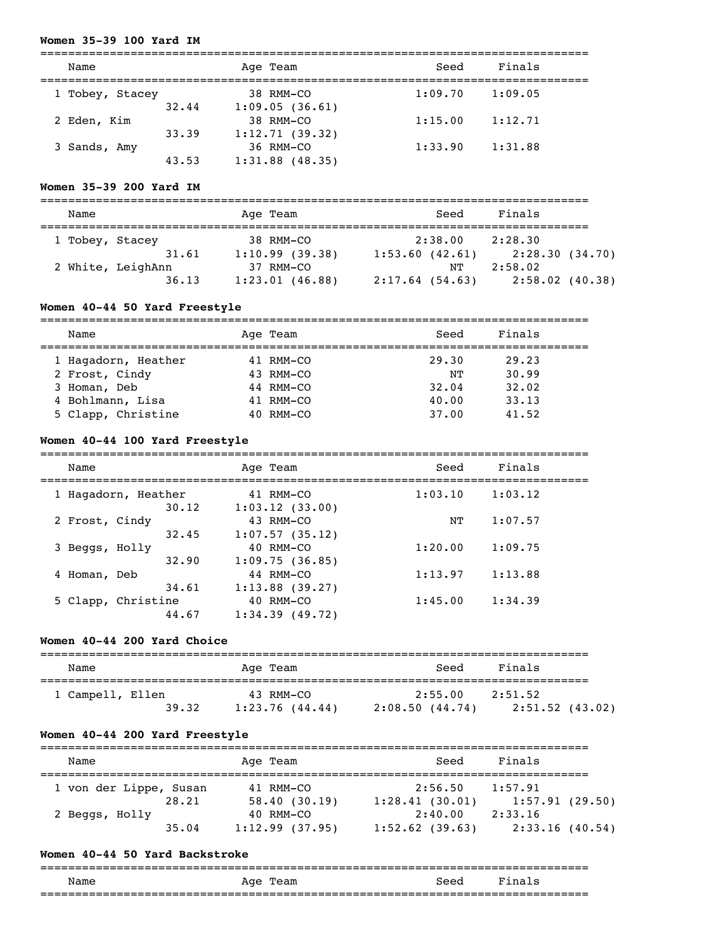## **Women 35-39 100 Yard IM**

| Name            |       | Age Team          | Seed    | Finals  |  |
|-----------------|-------|-------------------|---------|---------|--|
| 1 Tobey, Stacey |       | 38 RMM-CO         | 1:09.70 | 1:09.05 |  |
|                 | 32.44 | 1:09.05(36.61)    |         |         |  |
| 2 Eden, Kim     |       | 38 RMM-CO         | 1:15.00 | 1:12.71 |  |
|                 | 33.39 | 1:12.71(39.32)    |         |         |  |
| 3 Sands, Amy    |       | 36 RMM-CO         | 1:33.90 | 1:31.88 |  |
|                 | 43.53 | $1:31.88$ (48.35) |         |         |  |

#### **Women 35-39 200 Yard IM**

| Name              |       |  | Age Team       |                | Seed    | Finals            |  |
|-------------------|-------|--|----------------|----------------|---------|-------------------|--|
| 1 Tobey, Stacey   |       |  | 38 RMM-CO      |                | 2:38.00 | 2:28.30           |  |
|                   | 31.61 |  | 1:10.99(39.38) | 1:53.60(42.61) |         | 2:28.30(34.70)    |  |
| 2 White, LeighAnn |       |  | $37$ RMM-CO    |                | NΤ      | 2:58.02           |  |
|                   | 36.13 |  | 1:23.01(46.88) | 2:17.64(54.63) |         | $2:58.02$ (40.38) |  |

## **Women 40-44 50 Yard Freestyle**

| Name                | Age Team    | Seed  | Finals |
|---------------------|-------------|-------|--------|
|                     |             |       |        |
| 1 Hagadorn, Heather | 41 RMM-CO   | 29.30 | 29.23  |
|                     | 43 RMM-CO   | NΤ    | 30.99  |
| 2 Frost, Cindy      |             |       |        |
| 3 Homan, Deb        | 44 RMM-CO   | 32.04 | 32.02  |
| 4 Bohlmann, Lisa    | 41 RMM-CO   | 40.00 | 33.13  |
|                     |             |       |        |
| 5 Clapp, Christine  | $40$ RMM-CO | 37.00 | 41.52  |

#### **Women 40-44 100 Yard Freestyle**

| Name |                              | Age Team                       | Seed    | Finals  |  |
|------|------------------------------|--------------------------------|---------|---------|--|
|      | 1 Hagadorn, Heather<br>30.12 | 41 RMM-CO<br>1:03.12(33.00)    | 1:03.10 | 1:03.12 |  |
|      | 2 Frost, Cindy               | 43 RMM-CO                      | NΤ      | 1:07.57 |  |
|      | 32.45<br>3 Beggs, Holly      | 1:07.57(35.12)<br>40 RMM-CO    | 1:20.00 | 1:09.75 |  |
|      | 32.90<br>4 Homan, Deb        | 1:09.75(36.85)<br>44 RMM-CO    | 1:13.97 | 1:13.88 |  |
|      | 34.61<br>5 Clapp, Christine  | $1:13.88$ (39.27)<br>40 RMM-CO | 1:45.00 | 1:34.39 |  |
|      | 44.67                        | 1:34.39(49.72)                 |         |         |  |

#### **Women 40-44 200 Yard Choice**

| Name                      | Age Team                    | Seed                      | Finals                       |  |  |  |
|---------------------------|-----------------------------|---------------------------|------------------------------|--|--|--|
| 1 Campell, Ellen<br>39.32 | 43 RMM-CO<br>1:23.76(44.44) | 2:55.00<br>2:08.50(44.74) | 2:51.52<br>$2:51.52$ (43.02) |  |  |  |

#### **Women 40-44 200 Yard Freestyle**

| Name                            | Age Team                  | Seed                      | Finals                    |  |  |  |
|---------------------------------|---------------------------|---------------------------|---------------------------|--|--|--|
| 1 von der Lippe, Susan<br>28.21 | 41 RMM-CO                 | 2:56.50                   | 1:57.91                   |  |  |  |
| 2 Beggs, Holly                  | 58.40(30.19)<br>40 RMM-CO | 1:28.41(30.01)<br>2:40.00 | 1:57.91(29.50)<br>2:33.16 |  |  |  |
| 35.04                           | 1:12.99(37.95)            | $1:52.62$ (39.63)         | 2:33.16(40.54)            |  |  |  |

#### **Women 40-44 50 Yard Backstroke**

### =============================================================================== Name Age Team Seed Finals ===============================================================================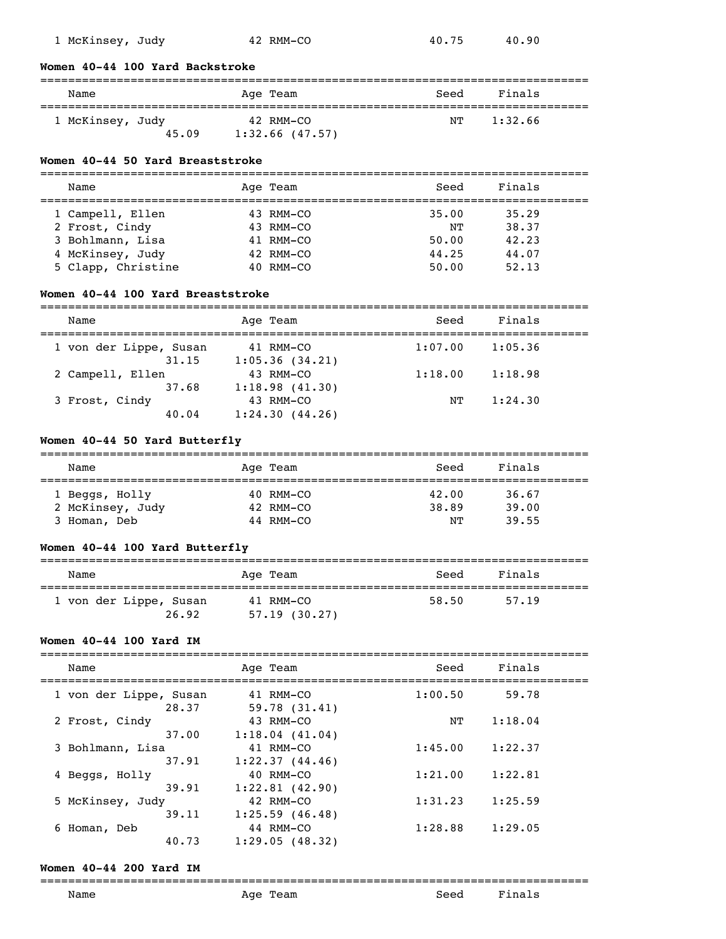| 1 McKinsey, Judy | 40.90 |
|------------------|-------|
| 42 RMM-CO        | 40.75 |

## **Women 40-44 100 Yard Backstroke**

### =============================================================================== Name Team Age Team Seed Finals =============================================================================== 1 McKinsey, Judy 42 RMM-CO 45.09 1:32.66 (47.57)

#### **Women 40-44 50 Yard Breaststroke**

| Name               | Age Team    | Seed  | Finals |
|--------------------|-------------|-------|--------|
| 1 Campell, Ellen   | $43$ RMM-CO | 35.00 | 35.29  |
| 2 Frost, Cindy     | $43$ RMM-CO | NΤ    | 38.37  |
| 3 Bohlmann, Lisa   | 41 RMM-CO   | 50.00 | 42.23  |
| 4 McKinsey, Judy   | $42$ RMM-CO | 44.25 | 44.07  |
| 5 Clapp, Christine | $40$ RMM-CO | 50.00 | 52.13  |

### **Women 40-44 100 Yard Breaststroke**

| Name                   | Age Team       | Seed    | Finals  |  |
|------------------------|----------------|---------|---------|--|
| 1 von der Lippe, Susan | 41 RMM-CO      | 1:07.00 | 1:05.36 |  |
| 31.15                  | 1:05.36(34.21) |         |         |  |
| 2 Campell, Ellen       | 43 RMM-CO      | 1:18.00 | 1:18.98 |  |
| 37.68                  | 1:18.98(41.30) |         |         |  |
| 3 Frost, Cindy         | 43 RMM-CO      | NͲ      | 1:24.30 |  |
| 40.04                  | 1:24.30(44.26) |         |         |  |

#### **Women 40-44 50 Yard Butterfly**

| Name             | Age Team  | Seed  | Finals |  |
|------------------|-----------|-------|--------|--|
|                  |           |       |        |  |
| 1 Beggs, Holly   | 40 RMM-CO | 42.00 | 36.67  |  |
| 2 McKinsey, Judy | 42 RMM-CO | 38.89 | 39.00  |  |
| Homan, Deb       | 44 RMM-CO | NΤ    | 39.55  |  |

## **Women 40-44 100 Yard Butterfly**

| Name                            | Age Team                  | Seed  | Finals |
|---------------------------------|---------------------------|-------|--------|
| 1 von der Lippe, Susan<br>26.92 | 41 RMM-CO<br>57.19(30.27) | 58.50 | 57.19  |

#### **Women 40-44 100 Yard IM**

| Finals<br>Seed<br>Name<br>Age Team<br>1:00.50<br>1 von der Lippe, Susan<br>59.78<br>41 RMM-CO<br>28.37<br>59.78(31.41)<br>43 RMM-CO<br>1:18.04<br>2 Frost, Cindy<br>NΤ<br>37.00<br>1:18.04(41.04)<br>1:45.00<br>1:22.37<br>3 Bohlmann, Lisa<br>41 RMM-CO<br>1:22.37(44.46)<br>37.91<br>1:21.00<br>1:22.81<br>40 RMM-CO<br>4 Beggs, Holly<br>1:22.81(42.90)<br>39.91<br>1:25.59<br>5 McKinsey, Judy<br>1:31.23<br>42 RMM-CO<br>39.11<br>1:25.59(46.48)<br>1:28.88<br>1:29.05<br>44 RMM-CO<br>6 Homan, Deb<br>40.73<br>1:29.05(48.32) |  |  |  |  |
|-------------------------------------------------------------------------------------------------------------------------------------------------------------------------------------------------------------------------------------------------------------------------------------------------------------------------------------------------------------------------------------------------------------------------------------------------------------------------------------------------------------------------------------|--|--|--|--|
|                                                                                                                                                                                                                                                                                                                                                                                                                                                                                                                                     |  |  |  |  |
|                                                                                                                                                                                                                                                                                                                                                                                                                                                                                                                                     |  |  |  |  |
|                                                                                                                                                                                                                                                                                                                                                                                                                                                                                                                                     |  |  |  |  |
|                                                                                                                                                                                                                                                                                                                                                                                                                                                                                                                                     |  |  |  |  |
|                                                                                                                                                                                                                                                                                                                                                                                                                                                                                                                                     |  |  |  |  |
|                                                                                                                                                                                                                                                                                                                                                                                                                                                                                                                                     |  |  |  |  |
|                                                                                                                                                                                                                                                                                                                                                                                                                                                                                                                                     |  |  |  |  |

### **Women 40-44 200 Yard IM**

#### ===============================================================================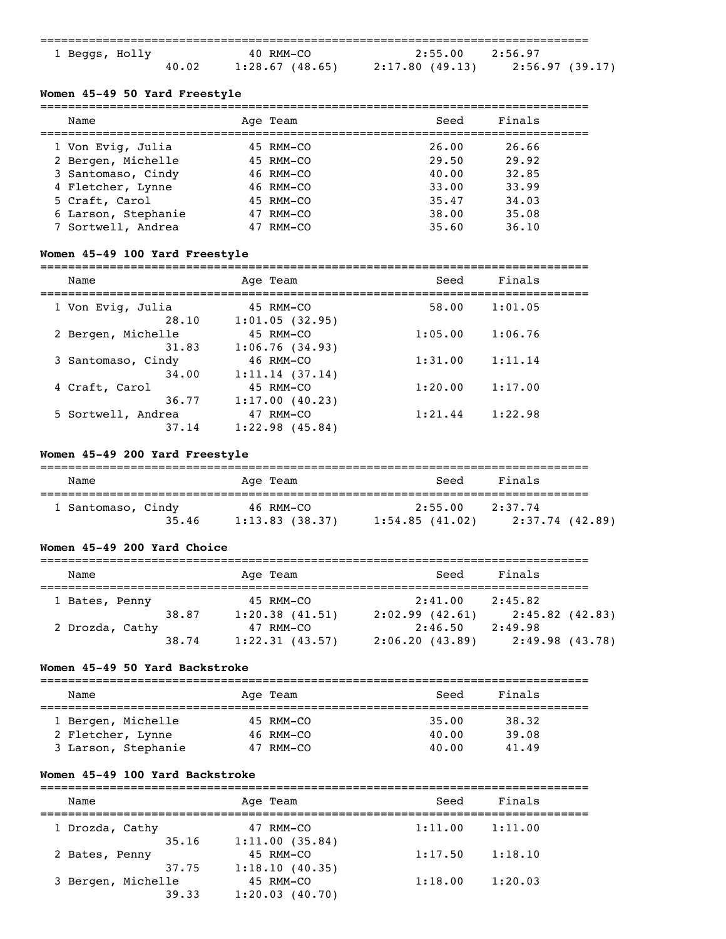|                |       |                   | ------------------------------------- |                 |
|----------------|-------|-------------------|---------------------------------------|-----------------|
| 1 Beggs, Holly |       | 40 RMM-CO         | 2:55.00                               | 7.56.97         |
|                | 40.02 | $1:28.67$ (48.65) | 2:17.80 (49.13)                       | 2:56.97 (39.17) |

#### **Women 45-49 50 Yard Freestyle**

| Name                |    | Age Team  | Seed  | Finals |
|---------------------|----|-----------|-------|--------|
| 1 Von Evig, Julia   |    | 45 RMM-CO | 26.00 | 26.66  |
| 2 Bergen, Michelle  |    | 45 RMM-CO | 29.50 | 29.92  |
| 3 Santomaso, Cindy  |    | 46 RMM-CO | 40.00 | 32.85  |
| 4 Fletcher, Lynne   |    | 46 RMM-CO | 33.00 | 33.99  |
| 5 Craft, Carol      |    | 45 RMM-CO | 35.47 | 34.03  |
| 6 Larson, Stephanie | 47 | RMM-CO    | 38.00 | 35.08  |
| 7 Sortwell, Andrea  |    | RMM-CO    | 35.60 | 36.10  |
|                     |    |           |       |        |

## **Women 45-49 100 Yard Freestyle**

===============================================================================

| Name               | Age Team       | Seed    | Finals  |  |
|--------------------|----------------|---------|---------|--|
| 1 Von Evig, Julia  | 45 RMM-CO      | 58.00   | 1:01.05 |  |
| 28.10              | 1:01.05(32.95) |         |         |  |
| 2 Bergen, Michelle | 45 RMM-CO      | 1:05.00 | 1:06.76 |  |
| 31.83              | 1:06.76(34.93) |         |         |  |
| 3 Santomaso, Cindy | 46 RMM-CO      | 1:31.00 | 1:11.14 |  |
| 34.00              | 1:11.14(37.14) |         |         |  |
| 4 Craft, Carol     | 45 RMM-CO      | 1:20.00 | 1:17.00 |  |
| 36.77              | 1:17.00(40.23) |         |         |  |
| 5 Sortwell, Andrea | 47 RMM-CO      | 1:21.44 | 1:22.98 |  |
| 37.14              | 1:22.98(45.84) |         |         |  |
|                    |                |         |         |  |

#### **Women 45-49 200 Yard Freestyle**

| Name               | Age Team       | Seed           | Finals          |  |  |
|--------------------|----------------|----------------|-----------------|--|--|
| 1 Santomaso, Cindy | 46 RMM-CO      | 2:55.00        | 2:37.74         |  |  |
| 35.46              | 1:13.83(38.37) | 1:54.85(41.02) | 2:37.74 (42.89) |  |  |

### **Women 45-49 200 Yard Choice**

| Name            |       | Age Team       | Seed           | Finals            |  |
|-----------------|-------|----------------|----------------|-------------------|--|
| 1 Bates, Penny  |       | 45 RMM-CO      | 2:41.00        | 2:45.82           |  |
|                 | 38.87 | 1:20.38(41.51) | 2:02.99(42.61) | $2:45.82$ (42.83) |  |
| 2 Drozda, Cathy |       | 47 RMM-CO      | 2:46.50        | 2:49.98           |  |
|                 | 38.74 | 1:22.31(43.57) | 2:06.20(43.89) | 2:49.98(43.78)    |  |

#### **Women 45-49 50 Yard Backstroke**

| Name                                    | Age Team               | Seed           | Finals         |  |
|-----------------------------------------|------------------------|----------------|----------------|--|
| 1 Bergen, Michelle<br>2 Fletcher, Lynne | 45 RMM-CO<br>46 RMM-CO | 35.00<br>40.00 | 38.32<br>39.08 |  |
| 3 Larson, Stephanie                     | 47 RMM-CO              | 40.00          | 41.49          |  |

#### **Women 45-49 100 Yard Backstroke**

=============================================================================== Name **Age Team** Age Team Seed Finals =============================================================================== 1 Drozda, Cathy  $35.16$   $1:11.00$   $(35.84)$ 

| 1:18.10 |
|---------|
|         |
| 1:20.03 |
|         |
|         |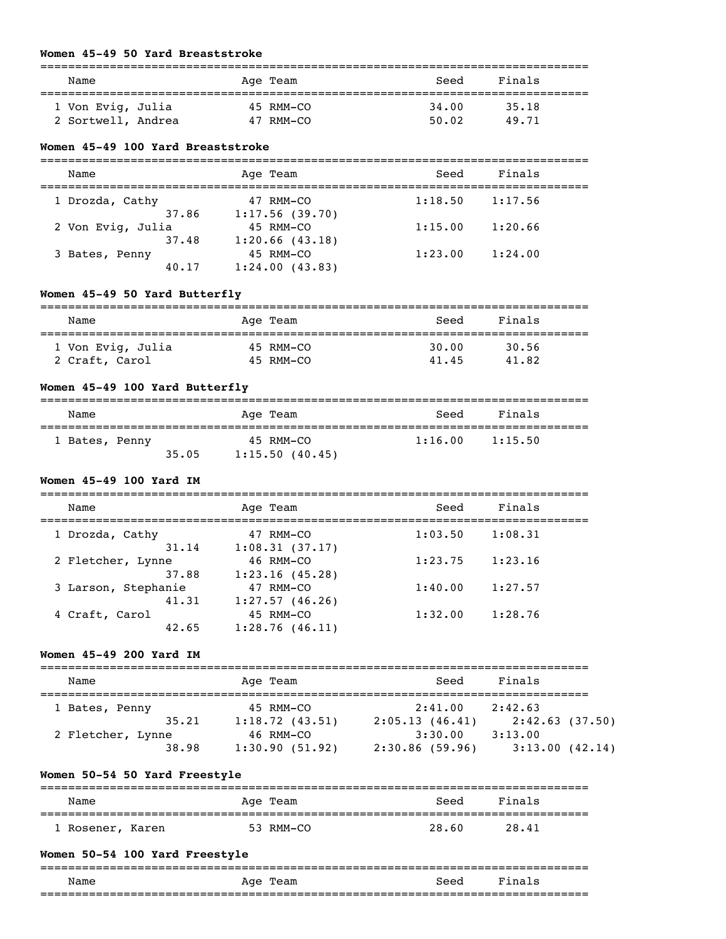#### **Women 45-49 50 Yard Breaststroke**

| Name               | Age Team  | Seed  | Finals |  |
|--------------------|-----------|-------|--------|--|
| 1 Von Evig, Julia  | 45 RMM-CO | 34,00 | 35.18  |  |
| 2 Sortwell, Andrea | 47 RMM-CO | 50.02 | 49.71  |  |

#### **Women 45-49 100 Yard Breaststroke**

| Name              | Age Team       | Seed    | Finals  |  |
|-------------------|----------------|---------|---------|--|
| 1 Drozda, Cathy   | 47 RMM-CO      | 1:18.50 | 1:17.56 |  |
| 37.86             | 1:17.56(39.70) |         |         |  |
| 2 Von Evig, Julia | 45 RMM-CO      | 1:15.00 | 1:20.66 |  |
| 37.48             | 1:20.66(43.18) |         |         |  |
| 3 Bates, Penny    | 45 RMM-CO      | 1:23.00 | 1:24.00 |  |
| 40.17             | 1:24.00(43.83) |         |         |  |

## **Women 45-49 50 Yard Butterfly**

| Name              | Age Team  | Seed  | Finals |  |
|-------------------|-----------|-------|--------|--|
| 1 Von Evig, Julia | 45 RMM-CO | 30.00 | 30.56  |  |
| 2 Craft, Carol    | 45 RMM-CO | 41.45 | 41.82  |  |

#### **Women 45-49 100 Yard Butterfly**

| Name           |       | Age Team       | Seed    | Finals  |
|----------------|-------|----------------|---------|---------|
| 1 Bates, Penny |       | 45 RMM-CO      | 1:16.00 | 1:15.50 |
|                | 35.05 | 1:15.50(40.45) |         |         |

#### **Women 45-49 100 Yard IM**

===============================================================================

| Name                | Age Team       | Seed    | Finals  |  |
|---------------------|----------------|---------|---------|--|
| 1 Drozda, Cathy     | 47 RMM-CO      | 1:03.50 | 1:08.31 |  |
| 31.14               | 1:08.31(37.17) |         |         |  |
| 2 Fletcher, Lynne   | 46 RMM-CO      | 1:23.75 | 1:23.16 |  |
| 37.88               | 1:23.16(45.28) |         |         |  |
| 3 Larson, Stephanie | 47 RMM-CO      | 1:40.00 | 1:27.57 |  |
| 41.31               | 1:27.57(46.26) |         |         |  |
| 4 Craft, Carol      | 45 RMM-CO      | 1:32.00 | 1:28.76 |  |
| 42.65               | 1:28.76(46.11) |         |         |  |
|                     |                |         |         |  |

### **Women 45-49 200 Yard IM**

| Name              | Age Team       | Seed           | Finals         |
|-------------------|----------------|----------------|----------------|
| 1 Bates, Penny    | 45 RMM-CO      | 2:41.00        | 2:42.63        |
| 35.21             | 1:18.72(43.51) | 2:05.13(46.41) | 2:42.63(37.50) |
| 2 Fletcher, Lynne | 46 RMM-CO      | 3:30.00        | 3:13.00        |
| 38.98             | 1:30.90(51.92) | 2:30.86(59.96) | 3:13.00(42.14) |

## **Women 50-54 50 Yard Freestyle**

| Name             | Age Team  | Finals<br>Seed |  |
|------------------|-----------|----------------|--|
| 1 Rosener, Karen | 53 RMM-CO | 28.60<br>28.41 |  |

## **Women 50-54 100 Yard Freestyle**

| __           |             |      | ___  |
|--------------|-------------|------|------|
| Name         | Aqe<br>Team | Seea |      |
| ------------ |             |      | ____ |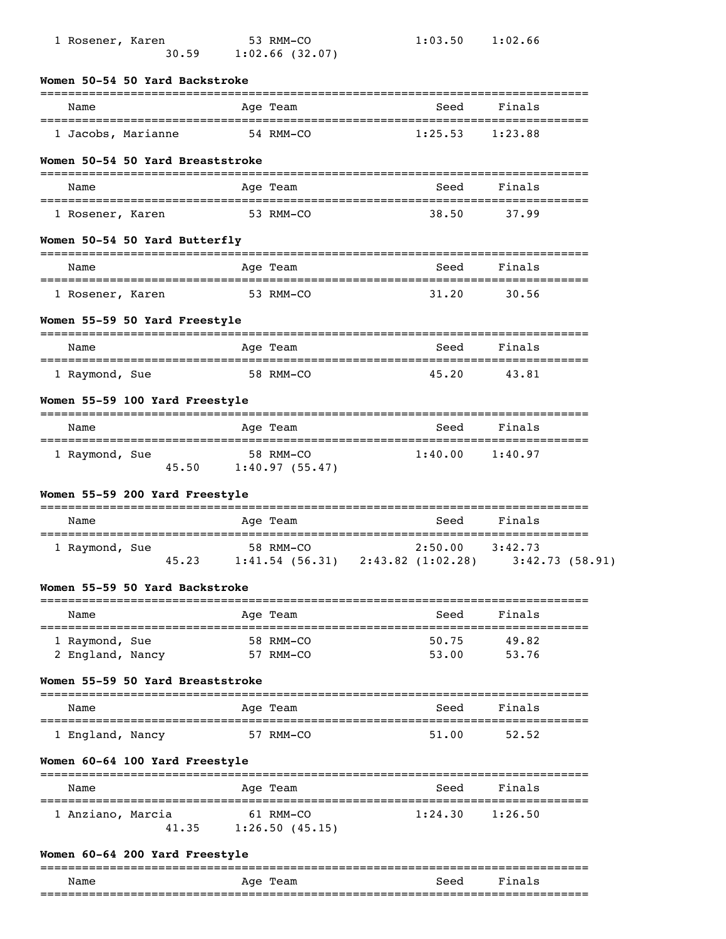|                | 1 Rosener, Karen          | 30.59                            | 53 RMM-CO<br>$1:02.66$ (32.07) | 1:03.50                                          | 1:02.66                   |  |
|----------------|---------------------------|----------------------------------|--------------------------------|--------------------------------------------------|---------------------------|--|
|                |                           | Women 50-54 50 Yard Backstroke   |                                |                                                  |                           |  |
| Name           | ========================= |                                  | Age Team                       | Seed<br>=================================        | Finals                    |  |
|                | 1 Jacobs, Marianne        |                                  | 54 RMM-CO                      | 1:25.53                                          | 1:23.88                   |  |
|                |                           | Women 50-54 50 Yard Breaststroke |                                |                                                  |                           |  |
| Name           |                           |                                  | Age Team                       | Seed                                             | Finals                    |  |
|                | 1 Rosener, Karen          |                                  | 53 RMM-CO                      | 38.50                                            | 37.99                     |  |
|                |                           | Women 50-54 50 Yard Butterfly    |                                |                                                  |                           |  |
| Name           |                           |                                  | Age Team                       | Seed                                             | Finals                    |  |
|                | 1 Rosener, Karen          |                                  | 53 RMM-CO                      | 31.20                                            | 30.56                     |  |
|                |                           | Women 55-59 50 Yard Freestyle    |                                |                                                  |                           |  |
| Name           |                           |                                  | Age Team                       | --------------------------------<br>Seed         | Finals                    |  |
| 1 Raymond, Sue |                           |                                  | 58 RMM-CO                      | 45.20                                            | 43.81                     |  |
|                |                           | Women 55-59 100 Yard Freestyle   |                                |                                                  |                           |  |
| Name           |                           |                                  | Age Team                       | Seed                                             | Finals                    |  |
| 1 Raymond, Sue |                           | 45.50                            | 58 RMM-CO<br>1:40.97(55.47)    | 1:40.00                                          | 1:40.97                   |  |
|                |                           | Women 55-59 200 Yard Freestyle   |                                |                                                  |                           |  |
| Name           |                           |                                  | Age Team                       | Seed                                             | Finals                    |  |
| 1 Raymond, Sue |                           | 45.23                            | 58 RMM-CO                      | 2:50.00<br>$1:41.54$ (56.31) $2:43.82$ (1:02.28) | 3:42.73<br>3:42.73(58.91) |  |
|                |                           | Women 55-59 50 Yard Backstroke   |                                |                                                  |                           |  |
| Name           |                           |                                  | Age Team                       | Seed<br>_________________________________        | Finals<br>==========      |  |
| 1 Raymond, Sue | 2 England, Nancy          |                                  | 58 RMM-CO<br>57 RMM-CO         | 50.75<br>53.00                                   | 49.82<br>53.76            |  |
|                |                           | Women 55-59 50 Yard Breaststroke |                                |                                                  |                           |  |
| Name           |                           |                                  | Age Team                       | Seed                                             | Finals                    |  |
|                | 1 England, Nancy          |                                  | 57 RMM-CO                      | 51.00                                            | 52.52                     |  |
|                |                           | Women 60-64 100 Yard Freestyle   |                                |                                                  |                           |  |
|                |                           |                                  |                                |                                                  |                           |  |
| Name           |                           |                                  | Age Team                       | Seed                                             | Finals                    |  |

# **Women 60-64 200 Yard Freestyle**

|             |             |      | ___ |
|-------------|-------------|------|-----|
| Name        | Aqe<br>ream | Seea |     |
| ----------- |             |      |     |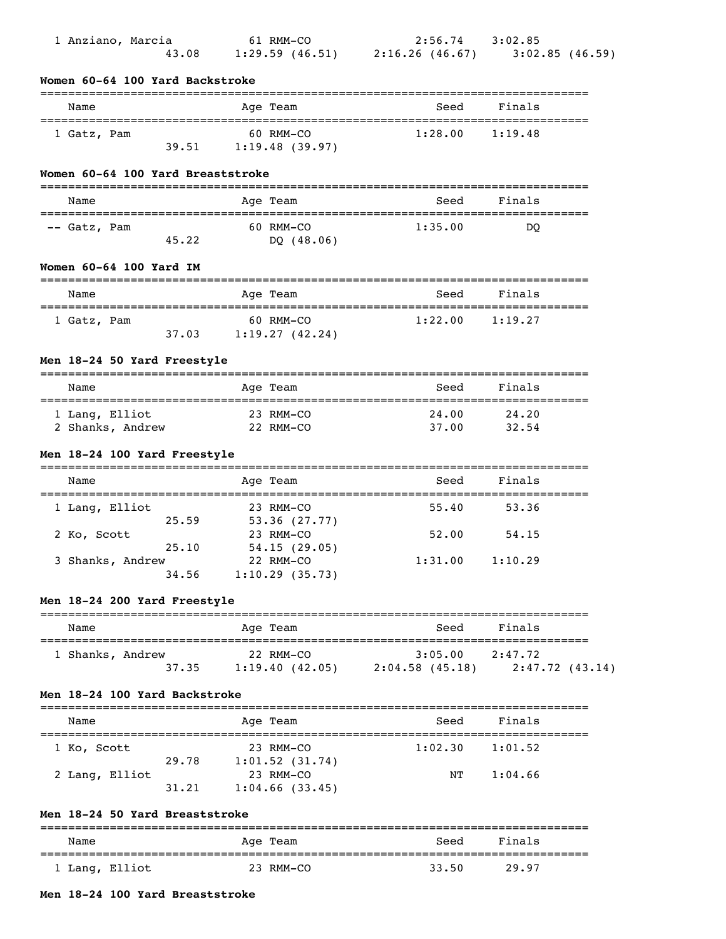| 1 Anziano, Marcia<br>43.08                   | 61 RMM-CO                                        | 2:56.74 3:02.85     | 1:29.59 (46.51) 2:16.26 (46.67) 3:02.85 (46.59) |
|----------------------------------------------|--------------------------------------------------|---------------------|-------------------------------------------------|
| Women 60-64 100 Yard Backstroke              |                                                  |                     |                                                 |
| Name                                         | Age Team                                         | Seed                | Finals                                          |
| 1 Gatz, Pam                                  | 60 RMM-CO                                        | 1:28.00             | 1:19.48                                         |
| 39.51                                        | 1:19.48(39.97)                                   |                     |                                                 |
| Women 60-64 100 Yard Breaststroke            |                                                  |                     |                                                 |
| Name                                         | Age Team                                         | Seed                | Finals                                          |
| -- Gatz, Pam<br>45.22                        | 60 RMM-CO<br>DQ $(48.06)$                        | 1:35.00             | DO                                              |
| Women 60-64 100 Yard IM                      |                                                  |                     |                                                 |
| Name<br>==================================== | Age Team                                         | Seed                | Finals                                          |
| 1 Gatz, Pam                                  | 60 RMM-CO<br>$37.03$ 1:19.27 (42.24)             | 1:22.00             | 1:19.27                                         |
| Men 18-24 50 Yard Freestyle                  |                                                  |                     |                                                 |
| Name                                         | Age Team                                         | Seed                | Finals                                          |
| 1 Lang, Elliot                               | 23 RMM-CO<br>22 RMM-CO                           | 24.00<br>37.00      | 24.20                                           |
| 2 Shanks, Andrew                             |                                                  |                     | 32.54                                           |
| Men 18-24 100 Yard Freestyle                 |                                                  |                     |                                                 |
| Name                                         | Age Team                                         | Seed                | Finals                                          |
| 1 Lang, Elliot<br>25.59                      | 23 RMM-CO<br>53.36(27.77)                        | 55.40               | 53.36                                           |
| 2 Ko, Scott<br>25.10                         | 23 RMM-CO                                        | 52.00               | 54.15                                           |
| 3 Shanks, Andrew                             | 54.15(29.05)<br>22 RMM-CO                        | $1:31.00$ $1:10.29$ |                                                 |
| 34.56                                        | 1:10.29(35.73)                                   |                     |                                                 |
| Men 18-24 200 Yard Freestyle                 |                                                  | ---------------     | ----------------                                |
| Name                                         | Age Team                                         | Seed                | Finals                                          |
| 1 Shanks, Andrew<br>37.35                    | 22 RMM-CO<br>$1:19.40$ (42.05) $2:04.58$ (45.18) | 3:05.00             | 2:47.72<br>2:47.72(43.14)                       |
| Men 18-24 100 Yard Backstroke                |                                                  |                     |                                                 |
| Name                                         | Age Team                                         | Seed                | Finals                                          |
| 1 Ko, Scott                                  | 23 RMM-CO                                        | 1:02.30             | 1:01.52                                         |

|                | 29.78 | $1:01.52$ (31.74) |    |         |
|----------------|-------|-------------------|----|---------|
| 2 Lang, Elliot |       | 23 RMM-CO         | NT | 1:04.66 |
|                | 31.21 | $1:04.66$ (33.45) |    |         |

## **Men 18-24 50 Yard Breaststroke**

| Name           | Age Team  | Seed  | Finals |  |
|----------------|-----------|-------|--------|--|
| 1 Lang, Elliot | 23 RMM-CO | 33.50 | 29.97  |  |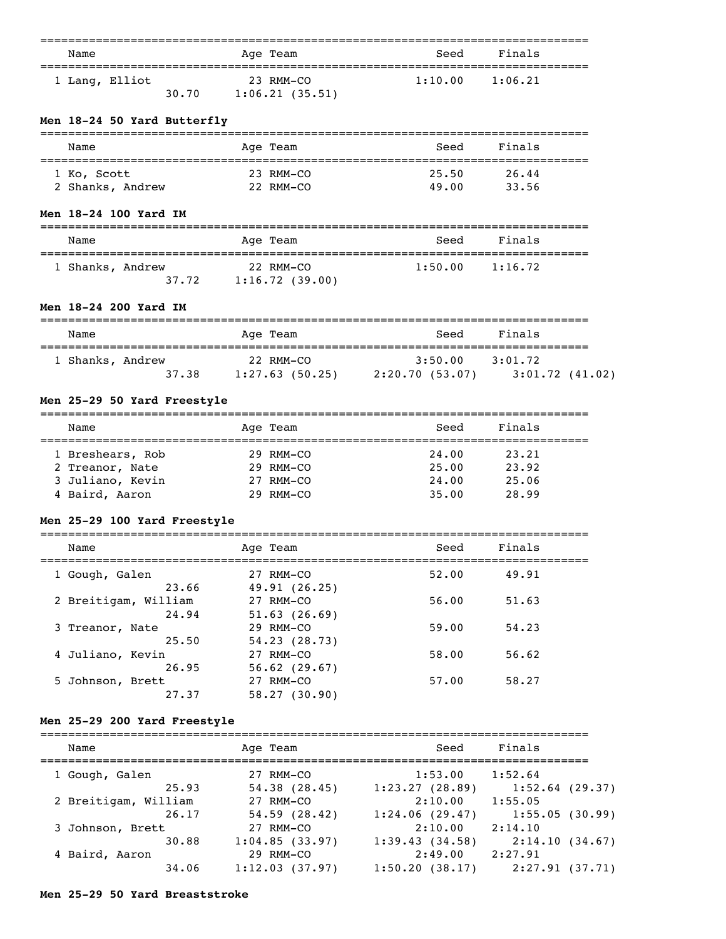| Name           |       | Age Team       | Seed    | Finals  |
|----------------|-------|----------------|---------|---------|
| 1 Lang, Elliot |       | 23 RMM-CO      | 1:10.00 | 1:06.21 |
|                | 30.70 | 1:06.21(35.51) |         |         |

## **Men 18-24 50 Yard Butterfly**

| Name             | Age Team  | Seed  | Finals |  |
|------------------|-----------|-------|--------|--|
| 1 Ko, Scott      | 23 RMM-CO | 25.50 | 26.44  |  |
| 2 Shanks, Andrew | 22 RMM-CO | 49.00 | 33.56  |  |

## **Men 18-24 100 Yard IM**

| Name                      | Age Team                    | Seed    | Finals  |
|---------------------------|-----------------------------|---------|---------|
| 1 Shanks, Andrew<br>37.72 | 22 RMM-CO<br>1:16.72(39.00) | 1:50.00 | 1:16.72 |

## **Men 18-24 200 Yard IM**

| Name             | Age Team       | Seed            | Finals         |
|------------------|----------------|-----------------|----------------|
| 1 Shanks, Andrew | 22 RMM-CO      | 3:50.00         | 3:01.72        |
| 37.38            | 1:27.63(50.25) | 2:20.70 (53.07) | 3:01.72(41.02) |

# **Men 25-29 50 Yard Freestyle**

| Name             | Age Team    | Seed  | Finals |  |
|------------------|-------------|-------|--------|--|
| 1 Breshears, Rob | 29 RMM-CO   | 24.00 | 23.21  |  |
| 2 Treanor, Nate  | $29$ RMM-CO | 25.00 | 23.92  |  |
| 3 Juliano, Kevin | 27 RMM-CO   | 24.00 | 25.06  |  |
| 4 Baird, Aaron   | $29$ RMM-CO | 35.00 | 28.99  |  |

# **Men 25-29 100 Yard Freestyle**

| Name                 | Age Team          | Seed  | Finals |  |
|----------------------|-------------------|-------|--------|--|
| 1 Gough, Galen       | 27 RMM-CO         | 52.00 | 49.91  |  |
| 23.66                | 49.91(26.25)      |       |        |  |
| 2 Breitigam, William | 27 RMM-CO         | 56.00 | 51.63  |  |
| 24.94                | $51.63$ $(26.69)$ |       |        |  |
| 3 Treanor, Nate      | 29 RMM-CO         | 59.00 | 54.23  |  |
| 25.50                | 54.23(28.73)      |       |        |  |
| 4 Juliano, Kevin     | 27 RMM-CO         | 58.00 | 56.62  |  |
| 26.95                | $56.62$ (29.67)   |       |        |  |
| 5 Johnson, Brett     | 27 RMM-CO         | 57.00 | 58.27  |  |
| 27.37                | 58.27(30.90)      |       |        |  |

## **Men 25-29 200 Yard Freestyle**

| Name                 | Age Team       | Seed           | Finals            |
|----------------------|----------------|----------------|-------------------|
| 1 Gough, Galen       | 27 RMM-CO      | 1:53.00        | 1:52.64           |
| 25.93                | 54.38(28.45)   | 1:23.27(28.89) | $1:52.64$ (29.37) |
| 2 Breitigam, William | 27 RMM-CO      | 2:10.00        | 1:55.05           |
| 26.17                | 54.59(28.42)   | 1:24.06(29.47) | 1:55.05(30.99)    |
| 3 Johnson, Brett     | 27 RMM-CO      | 2:10.00        | 2:14.10           |
| 30.88                | 1:04.85(33.97) | 1:39.43(34.58) | 2:14.10(34.67)    |
| 4 Baird, Aaron       | 29 RMM-CO      | 2:49.00        | 2:27.91           |
| 34.06                | 1:12.03(37.97) | 1:50.20(38.17) | 2:27.91(37.71)    |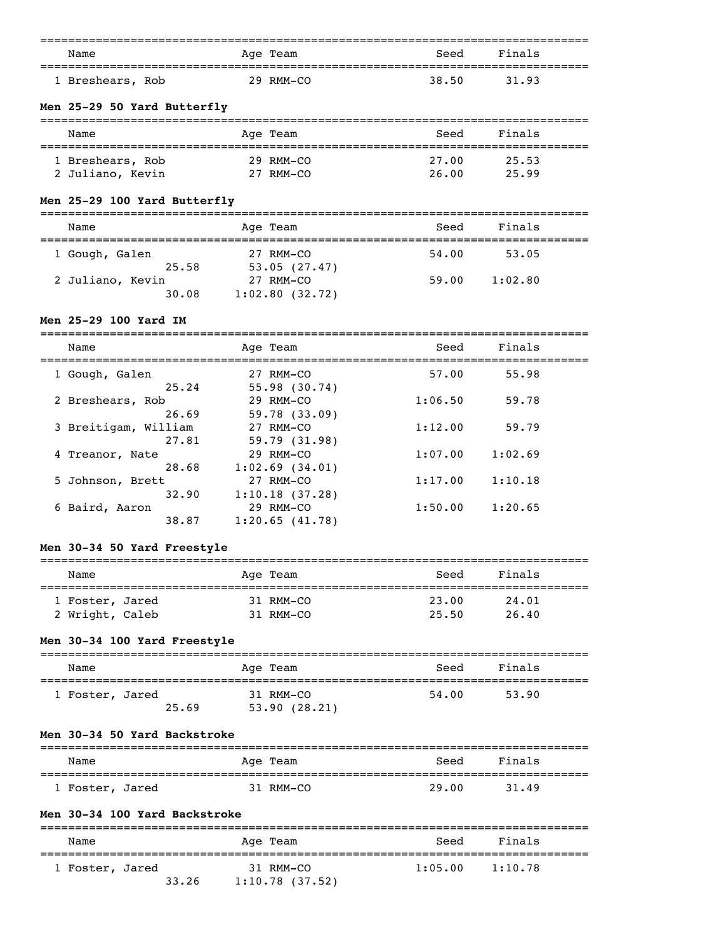| Name             | Age Team |           | Seed  | Finals |
|------------------|----------|-----------|-------|--------|
|                  |          |           |       |        |
| 1 Breshears, Rob |          | 29 RMM-CO | 38.50 | 31.93  |

## **Men 25-29 50 Yard Butterfly**

| Name             | Age Team  | Seed  | Finals |  |
|------------------|-----------|-------|--------|--|
| 1 Breshears, Rob | 29 RMM-CO | 27.00 | 25.53  |  |
| 2 Juliano, Kevin | 27 RMM-CO | 26.00 | 25.99  |  |

# **Men 25-29 100 Yard Butterfly**

| Name             | Age Team       | Seed  | Finals  |  |
|------------------|----------------|-------|---------|--|
| 1 Gough, Galen   | 27 RMM-CO      | 54.00 | 53.05   |  |
| 25.58            | 53.05(27.47)   |       |         |  |
| 2 Juliano, Kevin | 27 RMM-CO      | 59.00 | 1:02.80 |  |
| 30.08            | 1:02.80(32.72) |       |         |  |

# **Men 25-29 100 Yard IM**

===============================================================================

| Name                 | Age Team            | Seed    | Finals  |  |
|----------------------|---------------------|---------|---------|--|
| 1 Gough, Galen       | 27 RMM-CO           | 57.00   | 55.98   |  |
| 25.24                | 55.98(30.74)        |         |         |  |
| 2 Breshears, Rob     | 29 RMM-CO           | 1:06.50 | 59.78   |  |
| 26.69                | 59.78(33.09)        |         |         |  |
| 3 Breitigam, William | 27 RMM-CO           | 1:12.00 | 59.79   |  |
| 27.81                | 59.79(31.98)        |         |         |  |
| 4 Treanor, Nate      | 29 RMM-CO           | 1:07.00 | 1:02.69 |  |
| 28.68                | $1:02.69$ $(34.01)$ |         |         |  |
| 5 Johnson, Brett     | 27 RMM-CO           | 1:17.00 | 1:10.18 |  |
| 32.90                | 1:10.18(37.28)      |         |         |  |
| 6 Baird, Aaron       | 29 RMM-CO           | 1:50.00 | 1:20.65 |  |
| 38.87                | 1:20.65(41.78)      |         |         |  |

## **Men 30-34 50 Yard Freestyle**

| Name            | Age Team  | Seed  | Finals |
|-----------------|-----------|-------|--------|
| 1 Foster, Jared | 31 RMM-CO | 23.00 | 24.01  |
| 2 Wright, Caleb | 31 RMM-CO | 25.50 | 26.40  |

#### **Men 30-34 100 Yard Freestyle**

| Name            |       | Age Team                  | Seed  | Finals |
|-----------------|-------|---------------------------|-------|--------|
| 1 Foster, Jared | 25.69 | 31 RMM-CO<br>53.90(28.21) | 54.00 | 53.90  |

### **Men 30-34 50 Yard Backstroke**

| Name            | Age Team  | Seed  | Finals |  |
|-----------------|-----------|-------|--------|--|
| 1 Foster, Jared | 31 RMM-CO | 29.00 | 31.49  |  |

### **Men 30-34 100 Yard Backstroke**

| Name            |       | Age Team                       | Seed    | Finals  |
|-----------------|-------|--------------------------------|---------|---------|
| 1 Foster, Jared | 33.26 | 31 RMM-CO<br>$1:10.78$ (37.52) | 1:05.00 | 1:10.78 |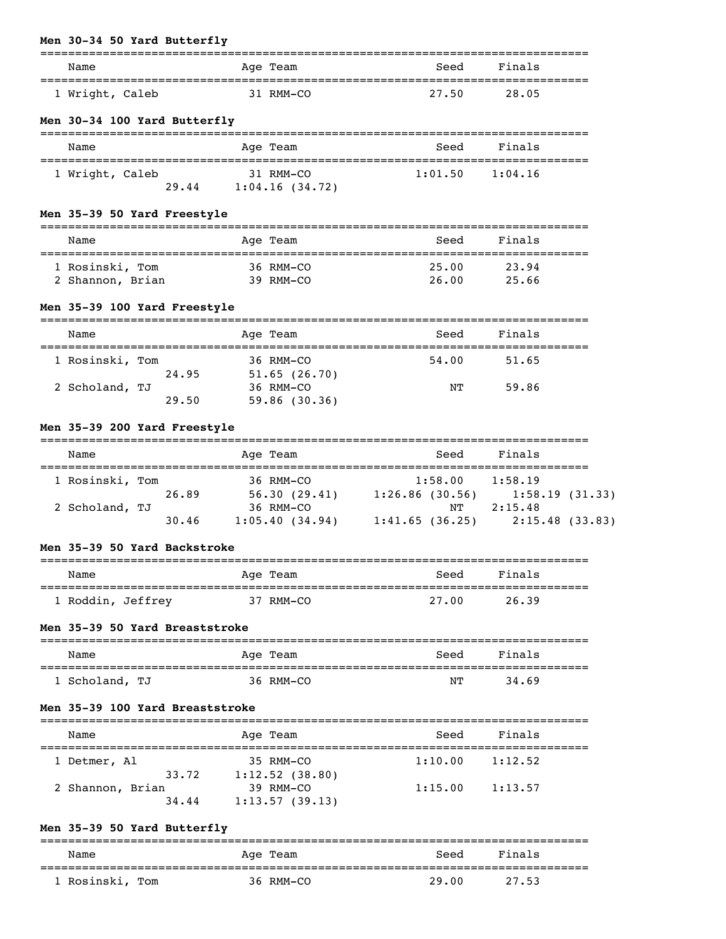# **Men 30-34 50 Yard Butterfly**

| <i>u</i> 30-34 30 idid baccciii     |                                   |                           |                               |                      |  |
|-------------------------------------|-----------------------------------|---------------------------|-------------------------------|----------------------|--|
| Name                                | ================================  | Age Team                  | Seed<br>--------------------- | Finals               |  |
| 1 Wright, Caleb                     |                                   | 31 RMM-CO                 | 27.50                         | 28.05                |  |
| Men 30-34 100 Yard Butterfly        |                                   |                           |                               |                      |  |
| Name                                |                                   | Age Team                  | Seed                          | Finals               |  |
| 1 Wright, Caleb                     | 29.44 1:04.16 (34.72)             | 31 RMM-CO                 |                               | $1:01.50$ $1:04.16$  |  |
| Men 35-39 50 Yard Freestyle         |                                   | ------------              |                               |                      |  |
| Name                                | ================================= | Age Team                  | Seed<br>---------             | Finals               |  |
| 1 Rosinski, Tom<br>2 Shannon, Brian |                                   | 36 RMM-CO<br>39 RMM-CO    | 25.00                         | 23.94<br>26.00 25.66 |  |
| Men 35-39 100 Yard Freestyle        |                                   |                           |                               |                      |  |
| Name                                |                                   | Age Team                  | Seed                          | Finals               |  |
| 1 Rosinski, Tom                     | 24.95                             | 36 RMM-CO<br>51.65(26.70) | 54.00                         | 51.65                |  |
| 2 Scholand, TJ                      | 29.50                             | 36 RMM-CO<br>59.86(30.36) | NΤ                            | 59.86                |  |

# **Men 35-39 200 Yard Freestyle**

| Name            |       | Age Team       |                   | Seed    | Finals         |  |
|-----------------|-------|----------------|-------------------|---------|----------------|--|
| 1 Rosinski, Tom |       | 36 RMM-CO      |                   | 1:58.00 | 1:58.19        |  |
|                 | 26.89 | 56.30(29.41)   | $1:26.86$ (30.56) |         | 1:58.19(31.33) |  |
| 2 Scholand, TJ  |       | 36 RMM-CO      |                   | NТ      | 2:15.48        |  |
|                 | 30.46 | 1:05.40(34.94) | 1:41.65(36.25)    |         | 2:15.48(33.83) |  |

## **Men 35-39 50 Yard Backstroke**

| Name              | Age Team  | Seed  | Finals |
|-------------------|-----------|-------|--------|
| 1 Roddin, Jeffrey | 37 RMM-CO | 27.00 | 26.39  |

## **Men 35-39 50 Yard Breaststroke**

| Name           | Age Team  | Seed | Finals |
|----------------|-----------|------|--------|
|                |           |      |        |
| 1 Scholand, TJ | 36 RMM-CO | NΤ   | 34.69  |

#### **Men 35-39 100 Yard Breaststroke**

| Name             | Age Team          | Seed    | Finals  |  |
|------------------|-------------------|---------|---------|--|
| 1 Detmer, Al     | 35 RMM-CO         | 1:10.00 | 1:12.52 |  |
| 33.72            | $1:12.52$ (38.80) |         |         |  |
| 2 Shannon, Brian | 39 RMM-CO         | 1:15.00 | 1:13.57 |  |
| 34.44            | 1:13.57(39.13)    |         |         |  |

## **Men 35-39 50 Yard Butterfly**

| Name            | Age Team  | Seed  | Finals |  |
|-----------------|-----------|-------|--------|--|
| 1 Rosinski, Tom | 36 RMM-CO | 29.00 | 27.53  |  |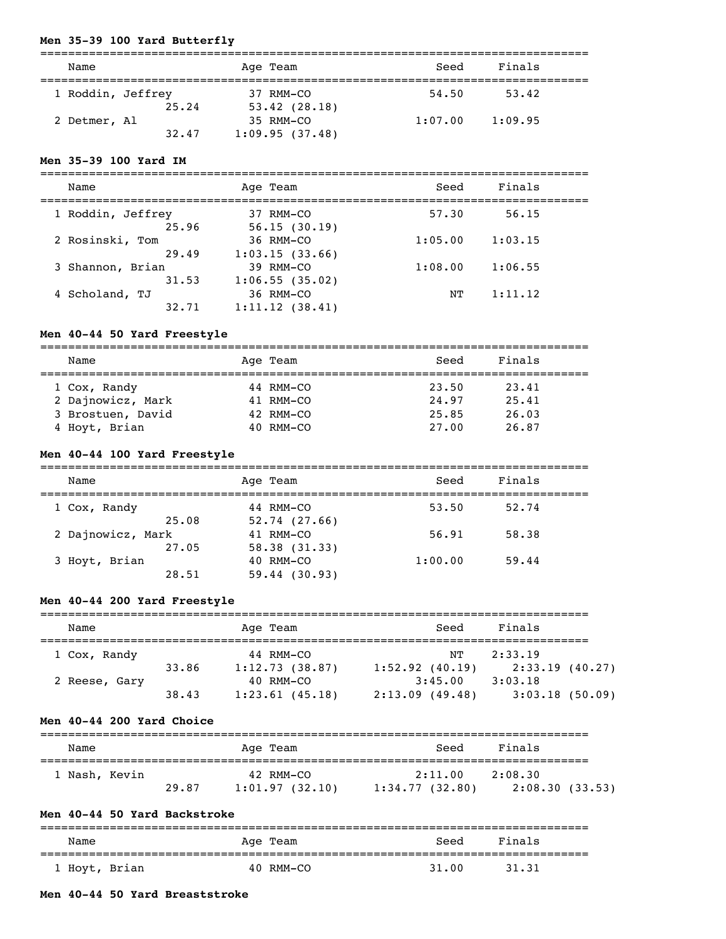## **Men 35-39 100 Yard Butterfly**

| Name              |       | Age Team       | Seed    | Finals  |  |
|-------------------|-------|----------------|---------|---------|--|
| 1 Roddin, Jeffrey |       | 37 RMM-CO      | 54.50   | 53.42   |  |
|                   | 25.24 | 53.42(28.18)   |         |         |  |
| 2 Detmer, Al      |       | 35 RMM-CO      | 1:07.00 | 1:09.95 |  |
|                   | 32.47 | 1:09.95(37.48) |         |         |  |

### **Men 35-39 100 Yard IM**

| Name                       | Age Team                    | Seed    | Finals  |  |
|----------------------------|-----------------------------|---------|---------|--|
| 1 Roddin, Jeffrey<br>25.96 | 37 RMM-CO<br>56.15(30.19)   | 57.30   | 56.15   |  |
| 2 Rosinski, Tom            | 36 RMM-CO                   | 1:05.00 | 1:03.15 |  |
| 29.49<br>3 Shannon, Brian  | 1:03.15(33.66)<br>39 RMM-CO | 1:08.00 | 1:06.55 |  |
| 31.53<br>4 Scholand, TJ    | 1:06.55(35.02)<br>36 RMM-CO | NͲ      | 1:11.12 |  |
| 32.71                      | 1:11.12(38.41)              |         |         |  |

### **Men 40-44 50 Yard Freestyle**

===============================================================================

| Name              | Age Team  | Seed  | Finals |
|-------------------|-----------|-------|--------|
| 1 Cox, Randy      | 44 RMM-CO | 23.50 | 23.41  |
| 2 Dajnowicz, Mark | 41 RMM-CO | 24.97 | 25.41  |
| 3 Brostuen, David | 42 RMM-CO | 25.85 | 26.03  |
| 4 Hoyt, Brian     | 40 RMM-CO | 27.00 | 26.87  |

## **Men 40-44 100 Yard Freestyle**

| Name              | Age Team       | Seed    | Finals |
|-------------------|----------------|---------|--------|
| 1 Cox, Randy      | 44 RMM-CO      | 53.50   | 52.74  |
| 25.08             | 52.74(27.66)   |         |        |
| 2 Dajnowicz, Mark | $41$ RMM $-CO$ | 56.91   | 58.38  |
| 27.05             | 58.38(31.33)   |         |        |
| 3 Hoyt, Brian     | $40$ RMM $-CO$ | 1:00.00 | 59.44  |
| 28.51             | 59.44(30.93)   |         |        |

## **Men 40-44 200 Yard Freestyle**

| Name          |       | Age Team |                |                | Seed              | Finals         |  |
|---------------|-------|----------|----------------|----------------|-------------------|----------------|--|
|               |       |          |                |                |                   |                |  |
| 1 Cox, Randy  |       |          | 44 RMM-CO      |                | NТ                | 2:33.19        |  |
|               | 33.86 |          | 1:12.73(38.87) |                | $1:52.92$ (40.19) | 2:33.19(40.27) |  |
| 2 Reese, Gary |       |          | 40 RMM-CO      |                | 3:45.00           | 3:03.18        |  |
|               | 38.43 |          | 1:23.61(45.18) | 2:13.09(49.48) |                   | 3:03.18(50.09) |  |

#### **Men 40-44 200 Yard Choice**

| Name          |       | Age Team                    | Seed                      | Finals                    |
|---------------|-------|-----------------------------|---------------------------|---------------------------|
| 1 Nash, Kevin | 29.87 | 42 RMM-CO<br>1:01.97(32.10) | 2:11.00<br>1:34.77(32.80) | 2:08.30<br>2:08.30(33.53) |

## **Men 40-44 50 Yard Backstroke**

| Name          | Age Team  | Seed  | Finals |
|---------------|-----------|-------|--------|
| 1 Hoyt, Brian | 40 RMM-CO | 31,00 | 31.31  |

## **Men 40-44 50 Yard Breaststroke**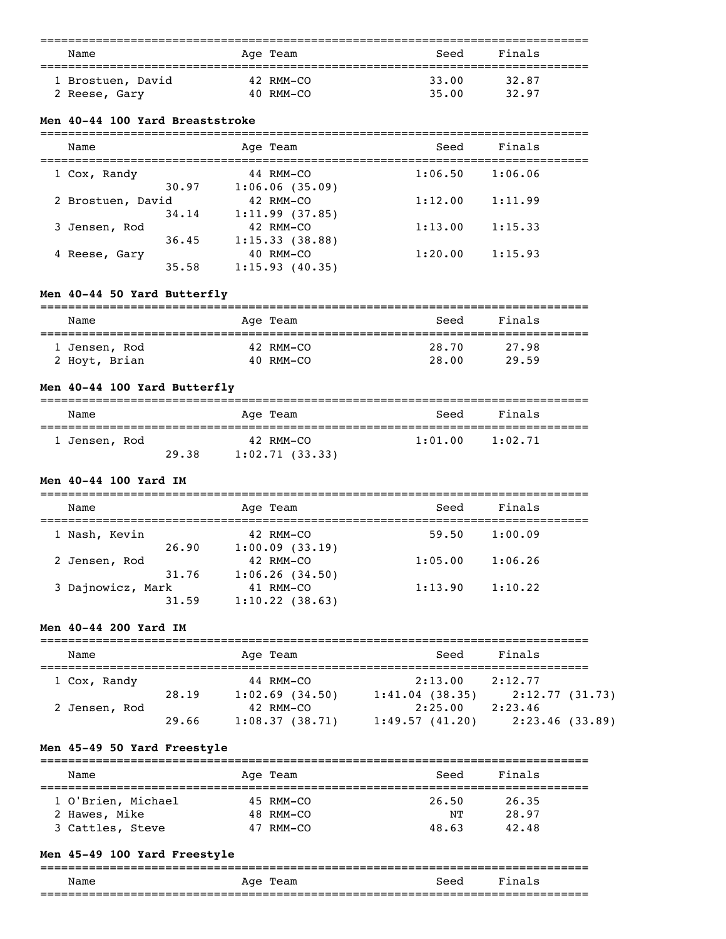| Name              | Age Team  | Seed  | Finals |  |
|-------------------|-----------|-------|--------|--|
| 1 Brostuen, David | 42 RMM-CO | 33.00 | 32.87  |  |
| 2 Reese, Gary     | 40 RMM-CO | 35.00 | 32.97  |  |

### **Men 40-44 100 Yard Breaststroke**

| Name              |       | Age Team       | Seed    | Finals  |  |
|-------------------|-------|----------------|---------|---------|--|
| 1 Cox, Randy      |       | 44 RMM-CO      | 1:06.50 | 1:06.06 |  |
|                   | 30.97 | 1:06.06(35.09) |         |         |  |
| 2 Brostuen, David |       | 42 RMM-CO      | 1:12.00 | 1:11.99 |  |
|                   | 34.14 | 1:11.99(37.85) |         |         |  |
| 3 Jensen, Rod     |       | 42 RMM-CO      | 1:13.00 | 1:15.33 |  |
|                   | 36.45 | 1:15.33(38.88) |         |         |  |
| 4 Reese, Gary     |       | 40 RMM-CO      | 1:20.00 | 1:15.93 |  |
|                   | 35.58 | 1:15.93(40.35) |         |         |  |

## **Men 40-44 50 Yard Butterfly**

| Name          | Age Team  | Seed  | Finals |  |
|---------------|-----------|-------|--------|--|
| 1 Jensen, Rod | 42 RMM-CO | 28.70 | 27.98  |  |
| 2 Hoyt, Brian | 40 RMM-CO | 28.00 | 29.59  |  |

# **Men 40-44 100 Yard Butterfly**

| Name          |       | Age Team                    | Seed    | Finals  |  |
|---------------|-------|-----------------------------|---------|---------|--|
| 1 Jensen, Rod | 29.38 | 42 RMM-CO<br>1:02.71(33.33) | 1:01.00 | 1:02.71 |  |

### **Men 40-44 100 Yard IM**

| Name              |       | Age Team                    | Seed    | Finals  |
|-------------------|-------|-----------------------------|---------|---------|
| 1 Nash, Kevin     | 26.90 | 42 RMM-CO<br>1:00.09(33.19) | 59.50   | 1:00.09 |
| 2 Jensen, Rod     |       | 42 RMM-CO                   | 1:05.00 | 1:06.26 |
| 3 Dajnowicz, Mark | 31.76 | 1:06.26(34.50)<br>41 RMM-CO | 1:13.90 | 1:10.22 |
|                   | 31.59 | 1:10.22(38.63)              |         |         |

## **Men 40-44 200 Yard IM**

| Name          |       | Age Team |                     | Seed              | Finals         |  |
|---------------|-------|----------|---------------------|-------------------|----------------|--|
| 1 Cox, Randy  |       |          | $44$ RMM-CO         | 2:13.00           | 2:12.77        |  |
|               | 28.19 |          | $1:02.69$ $(34.50)$ | $1:41.04$ (38.35) | 2:12.77(31.73) |  |
| 2 Jensen, Rod |       |          | $42$ RMM-CO         | 2:25.00           | 2:23.46        |  |
|               | 29.66 |          | 1:08.37(38.71)      | 1:49.57(41.20)    | 2:23.46(33.89) |  |

## **Men 45-49 50 Yard Freestyle**

| Name               | Age Team  | Seed  | Finals |  |
|--------------------|-----------|-------|--------|--|
| 1 O'Brien, Michael | 45 RMM-CO | 26.50 | 26.35  |  |
| 2 Hawes, Mike      | 48 RMM-CO | NͲ    | 28.97  |  |
| 3 Cattles, Steve   | 47 RMM-CO | 48.63 | 42.48  |  |

## **Men 45-49 100 Yard Freestyle**

| Name | Team<br>Aqe | Seed | Final<br>S |
|------|-------------|------|------------|
|      |             |      |            |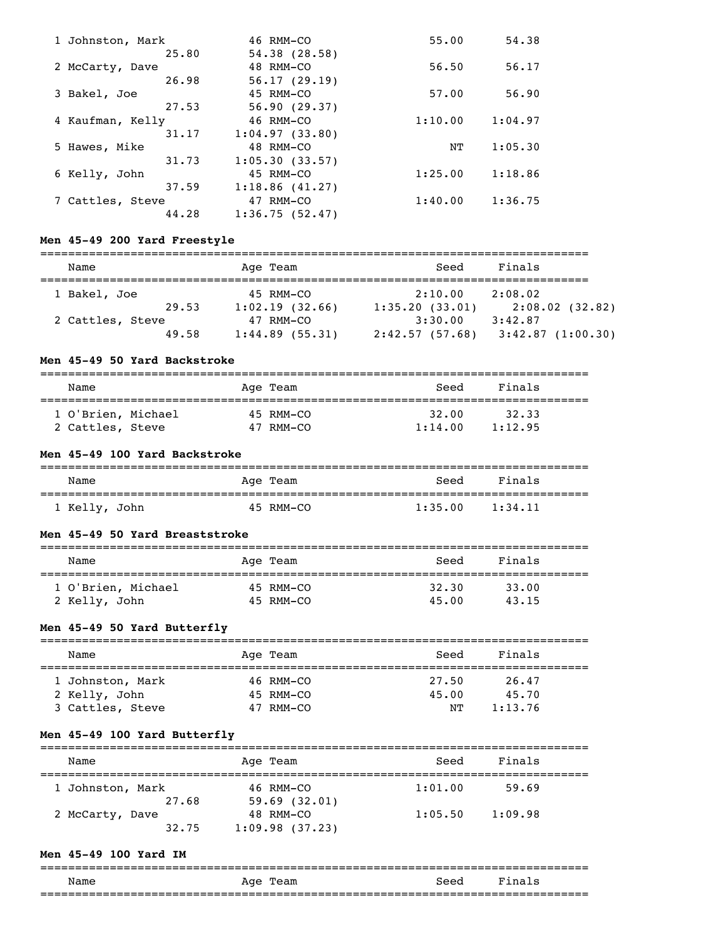| 1 Johnston, Mark | 46 RMM-CO      | 55.00   | 54.38   |
|------------------|----------------|---------|---------|
| 25.80            | 54.38(28.58)   |         |         |
| 2 McCarty, Dave  | 48 RMM-CO      | 56.50   | 56.17   |
| 26.98            | 56.17(29.19)   |         |         |
| 3 Bakel, Joe     | 45 RMM-CO      | 57.00   | 56.90   |
| 27.53            | 56.90(29.37)   |         |         |
| 4 Kaufman, Kelly | 46 RMM-CO      | 1:10.00 | 1:04.97 |
| 31.17            | 1:04.97(33.80) |         |         |
| 5 Hawes, Mike    | 48 RMM-CO      | NΤ      | 1:05.30 |
| 31.73            | 1:05.30(33.57) |         |         |
| 6 Kelly, John    | 45 RMM-CO      | 1:25.00 | 1:18.86 |
| 37.59            | 1:18.86(41.27) |         |         |
| 7 Cattles, Steve | 47 RMM-CO      | 1:40.00 | 1:36.75 |
| 44.28            | 1:36.75(52.47) |         |         |

## **Men 45-49 200 Yard Freestyle**

| Name             |       | Age Team          | Seed           | Finals           |
|------------------|-------|-------------------|----------------|------------------|
| 1 Bakel, Joe     |       | 45 RMM-CO         | 2:10.00        | 2:08.02          |
|                  | 29.53 | 1:02.19(32.66)    | 1:35.20(33.01) | 2:08.02(32.82)   |
| 2 Cattles, Steve |       | $47$ RMM-CO       | 3:30.00        | 3:42.87          |
|                  | 49.58 | $1:44.89$ (55.31) | 2:42.57(57.68) | 3:42.87(1:00.30) |

### **Men 45-49 50 Yard Backstroke**

| Name                                   |  | Age Team               | Seed             | Finals           |
|----------------------------------------|--|------------------------|------------------|------------------|
| 1 O'Brien, Michael<br>2 Cattles, Steve |  | 45 RMM-CO<br>47 RMM-CO | 32.00<br>1:14.00 | 32.33<br>1:12.95 |

## **Men 45-49 100 Yard Backstroke**

| Name          | Age Team  | Seed    | Finals  |  |
|---------------|-----------|---------|---------|--|
| 1 Kelly, John | 45 RMM-CO | 1:35.00 | 1:34.11 |  |

#### **Men 45-49 50 Yard Breaststroke**

| Name                                | Age Team               | Seed           | Finals         |  |
|-------------------------------------|------------------------|----------------|----------------|--|
| 1 O'Brien, Michael<br>2 Kelly, John | 45 RMM-CO<br>45 RMM-CO | 32.30<br>45.00 | 33.00<br>43.15 |  |

# **Men 45-49 50 Yard Butterfly**

| Name             | Age Team  | Seed  | Finals  |
|------------------|-----------|-------|---------|
| 1 Johnston, Mark | 46 RMM-CO | 27.50 | 26.47   |
| 2 Kelly, John    | 45 RMM-CO | 45.00 | 45.70   |
| 3 Cattles, Steve | 47 RMM-CO | NͲ    | 1:13.76 |

## **Men 45-49 100 Yard Butterfly**

| Name                     | Age Team                    | Seed    | Finals  |  |
|--------------------------|-----------------------------|---------|---------|--|
| 1 Johnston, Mark         | 46 RMM-CO                   | 1:01.00 | 59.69   |  |
| 27.68<br>2 McCarty, Dave | 59.69(32.01)<br>$48$ RMM-CO | 1:05.50 | 1:09.98 |  |
| 32.75                    | 1:09.98(37.23)              |         |         |  |

### **Men 45-49 100 Yard IM**

|      |               |      | ___ |
|------|---------------|------|-----|
| Name | Aqe ´<br>ream | Seen |     |
|      |               |      |     |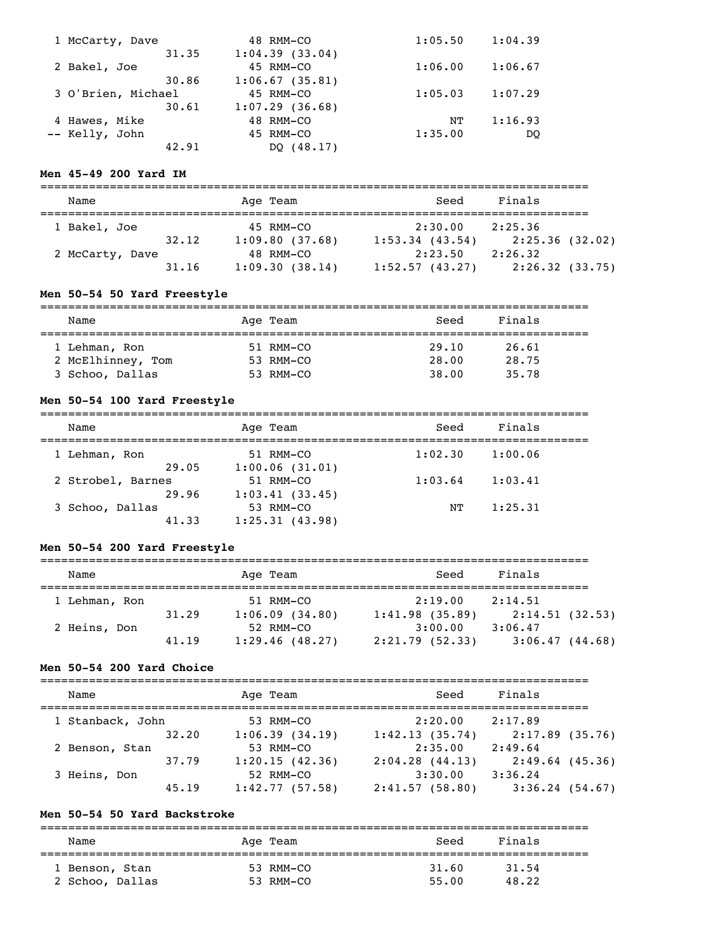| 1 McCarty, Dave    | 48 RMM-CO      | 1:05.50 | 1:04.39 |
|--------------------|----------------|---------|---------|
| 31.35              | 1:04.39(33.04) |         |         |
| 2 Bakel, Joe       | 45 RMM-CO      | 1:06.00 | 1:06.67 |
| 30.86              | 1:06.67(35.81) |         |         |
| 3 O'Brien, Michael | 45 RMM-CO      | 1:05.03 | 1:07.29 |
| 30.61              | 1:07.29(36.68) |         |         |
| 4 Hawes, Mike      | 48 RMM-CO      | NΤ      | 1:16.93 |
| -- Kelly, John     | 45 RMM-CO      | 1:35.00 | DO      |
| 42.91              | DO (48.17)     |         |         |

## **Men 45-49 200 Yard IM**

| Name            |       | Age Team       | Seed              | Finals         |
|-----------------|-------|----------------|-------------------|----------------|
| 1 Bakel, Joe    |       | 45 RMM-CO      | 2:30.00           | 2:25.36        |
|                 | 32.12 | 1:09.80(37.68) | $1:53.34$ (43.54) | 2:25.36(32.02) |
| 2 McCarty, Dave |       | 48 RMM-CO      | 2:23.50           | 2:26.32        |
|                 | 31.16 | 1:09.30(38.14) | 1:52.57(43.27)    | 2:26.32(33.75) |

## **Men 50-54 50 Yard Freestyle**

| Name              | Age Team  | Seed  | Finals |  |
|-------------------|-----------|-------|--------|--|
|                   |           |       |        |  |
| 1 Lehman, Ron     | 51 RMM-CO | 29.10 | 26.61  |  |
| 2 McElhinney, Tom | 53 RMM-CO | 28.00 | 28.75  |  |
| 3 Schoo, Dallas   | 53 RMM-CO | 38.00 | 35.78  |  |

#### **Men 50-54 100 Yard Freestyle**

| Name              | Age Team       | Seed    | Finals  |  |
|-------------------|----------------|---------|---------|--|
| 1 Lehman, Ron     | 51 RMM-CO      | 1:02.30 | 1:00.06 |  |
| 29.05             | 1:00.06(31.01) |         |         |  |
| 2 Strobel, Barnes | 51 RMM-CO      | 1:03.64 | 1:03.41 |  |
| 29.96             | 1:03.41(33.45) |         |         |  |
| 3 Schoo, Dallas   | 53 RMM-CO      | NΤ      | 1:25.31 |  |
| 41.33             | 1:25.31(43.98) |         |         |  |

## **Men 50-54 200 Yard Freestyle**

| Name          |       | Age Team       | Seed           | Finals         |  |
|---------------|-------|----------------|----------------|----------------|--|
| 1 Lehman, Ron |       | 51 RMM-CO      | 2:19.00        | 2:14.51        |  |
|               | 31.29 | 1:06.09(34.80) | 1:41.98(35.89) | 2:14.51(32.53) |  |
| 2 Heins, Don  |       | 52 RMM-CO      | 3:00.00        | 3:06.47        |  |
|               | 41.19 | 1:29.46(48.27) | 2:21.79(52.33) | 3:06.47(44.68) |  |

### **Men 50-54 200 Yard Choice**

| Name             |       | Age Team       | Seed                | Finals            |
|------------------|-------|----------------|---------------------|-------------------|
| 1 Stanback, John |       | 53 RMM-CO      | 2:20.00             | 2:17.89           |
|                  | 32.20 | 1:06.39(34.19) | 1:42.13(35.74)      | 2:17.89(35.76)    |
| 2 Benson, Stan   |       | 53 RMM-CO      | 2:35.00             | 2:49.64           |
|                  | 37.79 | 1:20.15(42.36) | $2:04.28$ $(44.13)$ | $2:49.64$ (45.36) |
| 3 Heins, Don     |       | 52 RMM-CO      | 3:30.00             | 3:36.24           |
|                  | 45.19 | 1:42.77(57.58) | 2:41.57(58.80)      | 3:36.24(54.67)    |

## **Men 50-54 50 Yard Backstroke**

=============================================================================== Name Age Team Seed Finals =============================================================================== 1 Benson, Stan 2 Schoo, Dallas 53 RMM-CO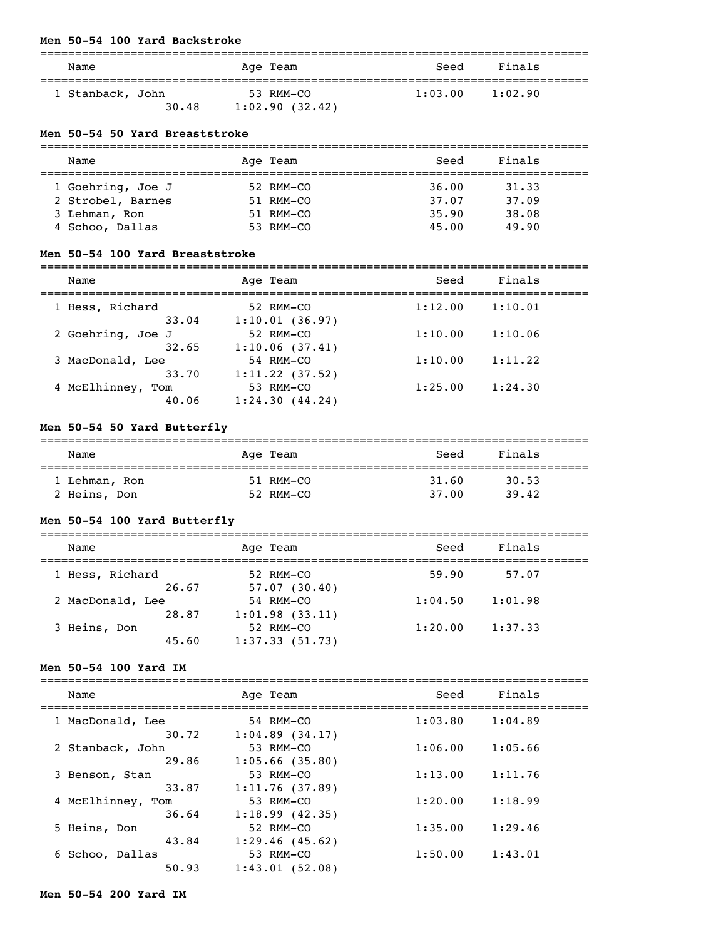#### **Men 50-54 100 Yard Backstroke**

| Name                      | Age Team                    | Seed    | Finals  |  |
|---------------------------|-----------------------------|---------|---------|--|
| 1 Stanback, John<br>30.48 | 53 RMM-CO<br>1:02.90(32.42) | 1:03.00 | 1:02.90 |  |

#### **Men 50-54 50 Yard Breaststroke**

| Name              | Age Team       | Seed  | Finals |
|-------------------|----------------|-------|--------|
|                   |                |       |        |
| 1 Goehring, Joe J | $52$ RMM $-CO$ | 36.00 | 31.33  |
| 2 Strobel, Barnes | 51 RMM-CO      | 37.07 | 37.09  |
| 3 Lehman, Ron     | 51 RMM-CO      | 35.90 | 38.08  |
| 4 Schoo, Dallas   | $53$ RMM-CO    | 45.00 | 49.90  |

#### **Men 50-54 100 Yard Breaststroke**

| Name                 | Age Team       | Seed    | Finals  |
|----------------------|----------------|---------|---------|
| 1 Hess, Richard      | 52 RMM-CO      | 1:12.00 | 1:10.01 |
| 33.04                | 1:10.01(36.97) |         |         |
| 2 Goehring, Joe J    | 52 RMM-CO      | 1:10.00 | 1:10.06 |
| 32.65                | 1:10.06(37.41) |         |         |
| 3 MacDonald, Lee     | 54 RMM-CO      | 1:10.00 | 1:11.22 |
| 33.70                | 1:11.22(37.52) |         |         |
| 4 McElhinney,<br>Tom | 53 RMM-CO      | 1:25.00 | 1:24.30 |

===============================================================================

## **Men 50-54 50 Yard Butterfly**

40.06 1:24.30 (44.24)

### =============================================================================== Name **Age Team** Age Team Seed Finals =============================================================================== 1 Lehman, Ron 51 RMM-CO 2 Heins, Don 31 Number 2 Heins, Don 39.42

## **Men 50-54 100 Yard Butterfly**

| Name             | Age Team       | Seed    | Finals  |  |
|------------------|----------------|---------|---------|--|
| 1 Hess, Richard  | 52 RMM-CO      | 59.90   | 57.07   |  |
| 26.67            | 57.07(30.40)   |         |         |  |
| 2 MacDonald, Lee | 54 RMM-CO      | 1:04.50 | 1:01.98 |  |
| 28.87            | 1:01.98(33.11) |         |         |  |
| 3 Heins, Don     | 52 RMM-CO      | 1:20.00 | 1:37.33 |  |
| 45.60            | 1:37.33(51.73) |         |         |  |

#### **Men 50-54 100 Yard IM**

| Name                       | Age Team                         | Seed    | Finals  |
|----------------------------|----------------------------------|---------|---------|
| 1 MacDonald, Lee<br>30.72  | 54 RMM-CO<br>$1:04.89$ $(34.17)$ | 1:03.80 | 1:04.89 |
| 2 Stanback, John<br>29.86  | 53 RMM-CO<br>$1:05.66$ (35.80)   | 1:06.00 | 1:05.66 |
| 3 Benson, Stan<br>33.87    | 53 RMM-CO<br>1:11.76(37.89)      | 1:13.00 | 1:11.76 |
| 4 McElhinney, Tom<br>36.64 | 53 RMM-CO<br>1:18.99(42.35)      | 1:20.00 | 1:18.99 |
| 5 Heins, Don<br>43.84      | 52 RMM-CO<br>1:29.46(45.62)      | 1:35.00 | 1:29.46 |
| 6 Schoo, Dallas<br>50.93   | 53 RMM-CO<br>1:43.01(52.08)      | 1:50.00 | 1:43.01 |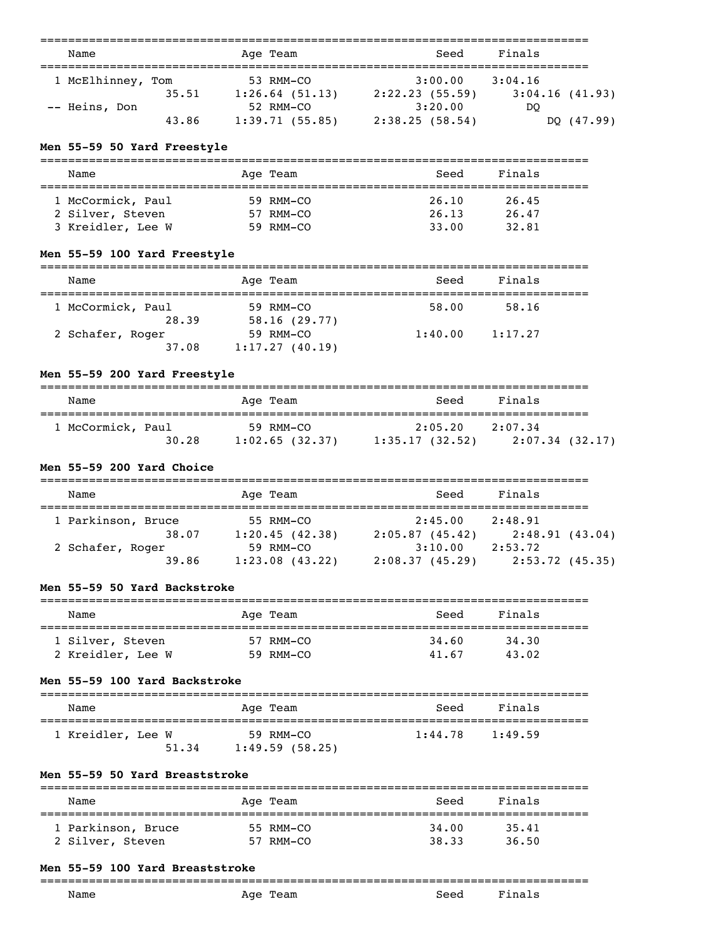| Name              |       | Age Team          | Seed           | Finals         |            |
|-------------------|-------|-------------------|----------------|----------------|------------|
| 1 McElhinney, Tom |       | 53 RMM-CO         | 3:00.00        | 3:04.16        |            |
|                   | 35.51 | $1:26.64$ (51.13) | 2:22.23(55.59) | 3:04.16(41.93) |            |
| -- Heins, Don     |       | 52 RMM-CO         | 3:20.00        | DO             |            |
|                   | 43.86 | 1:39.71(55.85)    | 2:38.25(58.54) |                | DQ (47.99) |

#### **Men 55-59 50 Yard Freestyle**

| ____      |                     |      | ____ |
|-----------|---------------------|------|------|
| Name<br>. | AU.<br>_____<br>___ | ،ممخ |      |

| 1 McCormick, Paul | 59 RMM-CO | 26.10 | 26.45 |
|-------------------|-----------|-------|-------|
| 2 Silver, Steven  | 57 RMM-CO | 26.13 | 26.47 |
| 3 Kreidler, Lee W | 59 RMM-CO | 33.00 | 32.81 |

# **Men 55-59 100 Yard Freestyle**

| Name              | Age Team       | Seed    | Finals  |  |
|-------------------|----------------|---------|---------|--|
| 1 McCormick, Paul | 59 RMM-CO      | 58.00   | 58.16   |  |
| 28.39             | 58.16(29.77)   |         |         |  |
| 2 Schafer, Roger  | 59 RMM-CO      | 1:40.00 | 1:17.27 |  |
| 37.08             | 1:17.27(40.19) |         |         |  |

## **Men 55-59 200 Yard Freestyle**

| Name              | Age Team       | Seed           | Finals         |
|-------------------|----------------|----------------|----------------|
| 1 McCormick, Paul | 59 RMM-CO      | 2:05.20        | 2:07.34        |
| 30.28             | 1:02.65(32.37) | 1:35.17(32.52) | 2:07.34(32.17) |

## **Men 55-59 200 Yard Choice**

| Name               | Age Team          | Seed           | Finals         |
|--------------------|-------------------|----------------|----------------|
|                    |                   |                |                |
| 1 Parkinson, Bruce | 55 RMM-CO         | 2:45.00        | 2:48.91        |
| 38.07              | 1:20.45(42.38)    | 2:05.87(45.42) | 2:48.91(43.04) |
| 2 Schafer, Roger   | 59 RMM-CO         | 3:10.00        | 2:53.72        |
| 39.86              | $1:23.08$ (43.22) | 2:08.37(45.29) | 2:53.72(45.35) |

# **Men 55-59 50 Yard Backstroke**

| Name              | Age Team  | Seed  | Finals |  |
|-------------------|-----------|-------|--------|--|
| 1 Silver, Steven  | 57 RMM-CO | 34.60 | 34.30  |  |
| 2 Kreidler, Lee W | 59 RMM-CO | 41.67 | 43.02  |  |

## **Men 55-59 100 Yard Backstroke**

| Name              |       | Age Team                    | Seed    | Finals  |
|-------------------|-------|-----------------------------|---------|---------|
| 1 Kreidler, Lee W | 51.34 | 59 RMM-CO<br>1:49.59(58.25) | 1:44.78 | 1:49.59 |

#### **Men 55-59 50 Yard Breaststroke**

| Name               | Age Team  | Seed  | Finals |  |
|--------------------|-----------|-------|--------|--|
| 1 Parkinson, Bruce | 55 RMM-CO | 34.00 | 35.41  |  |
| 2 Silver, Steven   | 57 RMM-CO | 38.33 | 36.50  |  |

### **Men 55-59 100 Yard Breaststroke**

#### ===============================================================================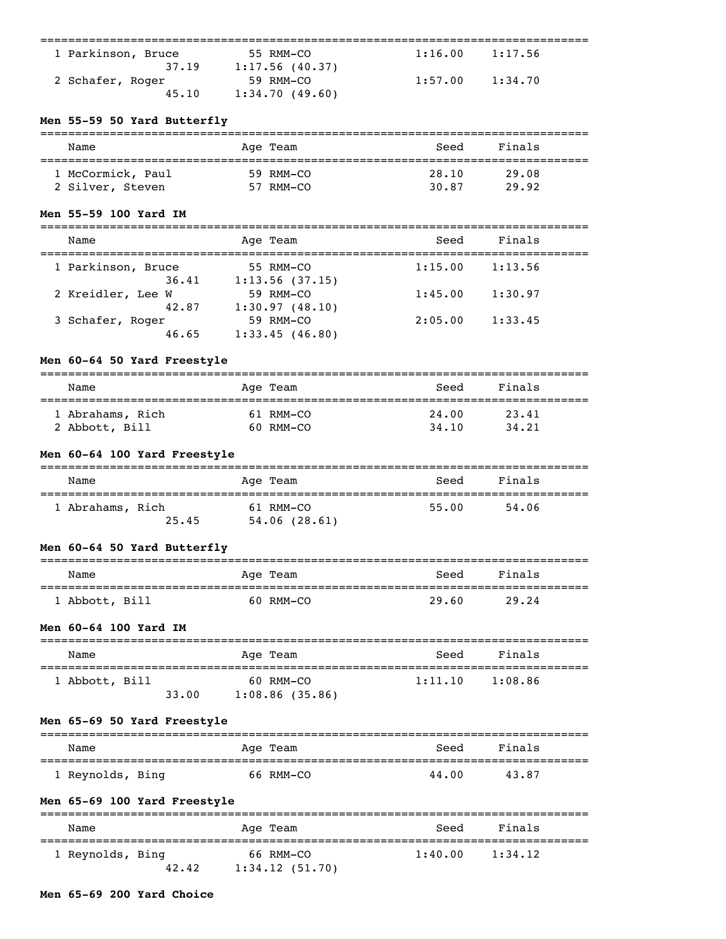| 1 Parkinson, Bruce | 55 RMM-CO      | 1:16.00 | 1:17.56 |
|--------------------|----------------|---------|---------|
| 37.19              | 1:17.56(40.37) |         |         |
| 2 Schafer, Roger   | 59 RMM-CO      | 1:57.00 | 1:34.70 |
| 45.10              | 1:34.70(49.60) |         |         |

## **Men 55-59 50 Yard Butterfly**

| Name              | Age Team  | Seed  | Finals |  |
|-------------------|-----------|-------|--------|--|
| 1 McCormick, Paul | 59 RMM-CO | 28.10 | 29.08  |  |
| 2 Silver, Steven  | 57 RMM-CO | 30.87 | 29.92  |  |

#### **Men 55-59 100 Yard IM**

| Name                        | Age Team                    | Seed    | Finals  |  |
|-----------------------------|-----------------------------|---------|---------|--|
| 1 Parkinson, Bruce<br>36.41 | 55 RMM-CO<br>1:13.56(37.15) | 1:15.00 | 1:13.56 |  |
| 2 Kreidler, Lee W<br>42.87  | $59$ RMM-CO                 | 1:45.00 | 1:30.97 |  |
| 3 Schafer, Roger            | 1:30.97(48.10)<br>59 RMM-CO | 2:05.00 | 1:33.45 |  |
| 46.65                       | 1:33.45(46.80)              |         |         |  |

## **Men 60-64 50 Yard Freestyle**

| Name             | Age Team  | Seed  | Finals |  |
|------------------|-----------|-------|--------|--|
| 1 Abrahams, Rich | 61 RMM-CO | 24.00 | 23.41  |  |
| 2 Abbott, Bill   | 60 RMM-CO | 34,10 | 34, 21 |  |

# **Men 60-64 100 Yard Freestyle**

| Name             |       | Age Team     | Seed  | Finals |
|------------------|-------|--------------|-------|--------|
| 1 Abrahams, Rich |       | 61 RMM-CO    | 55.00 | 54.06  |
|                  | 25.45 | 54.06(28.61) |       |        |

# **Men 60-64 50 Yard Butterfly**

| Name           | Age Team  | Seed  | Finals |  |
|----------------|-----------|-------|--------|--|
| 1 Abbott, Bill | 60 RMM-CO | 29.60 | 29.24  |  |

## **Men 60-64 100 Yard IM**

| Name           |       | Age Team                    | Seed    | Finals  |
|----------------|-------|-----------------------------|---------|---------|
| 1 Abbott, Bill | 33.00 | 60 RMM-CO<br>1:08.86(35.86) | 1:11.10 | 1:08.86 |

## **Men 65-69 50 Yard Freestyle**

| Name             | Age Team  | Seed  | Finals |  |
|------------------|-----------|-------|--------|--|
| 1 Reynolds, Bing | 66 RMM-CO | 44.00 | 43.87  |  |

# **Men 65-69 100 Yard Freestyle**

| Name             |       | Age Team                    | Seed    | Finals  |  |
|------------------|-------|-----------------------------|---------|---------|--|
| 1 Reynolds, Bing | 42.42 | 66 RMM-CO<br>1:34.12(51.70) | 1:40.00 | 1:34.12 |  |

## **Men 65-69 200 Yard Choice**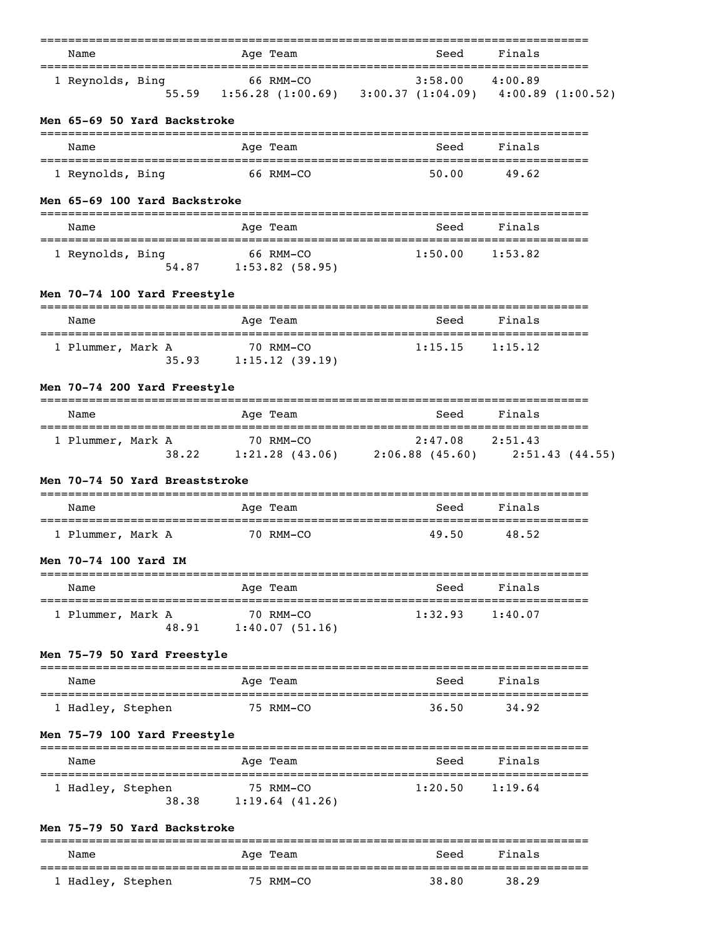| Name                           | Age Team                                                                                                                                                                 | Seed                | Finals  |  |
|--------------------------------|--------------------------------------------------------------------------------------------------------------------------------------------------------------------------|---------------------|---------|--|
| 1 Reynolds, Bing               | $\begin{array}{ccccccccc}\n & & & 66 & \text{RMM}-\text{CO} & & 3:58.00 & 4:00.89 \\ & & & 1:56.28 & (1:00.69) & 3:00.37 & (1:04.09) & 4:00.89 & (1:00.52)\n\end{array}$ |                     |         |  |
| Men 65-69 50 Yard Backstroke   |                                                                                                                                                                          |                     |         |  |
| Name                           | Age Team                                                                                                                                                                 | Seed                | Finals  |  |
| 1 Reynolds, Bing               | 66 RMM-CO                                                                                                                                                                | 50.00               | 49.62   |  |
| Men 65-69 100 Yard Backstroke  |                                                                                                                                                                          |                     |         |  |
| Name                           | Age Team                                                                                                                                                                 | Seed                | Finals  |  |
| 1 Reynolds, Bing               | 66 RMM-CO<br>54.87 1:53.82 (58.95)                                                                                                                                       | 1:50.00             | 1:53.82 |  |
| Men 70-74 100 Yard Freestyle   |                                                                                                                                                                          |                     |         |  |
| Name                           | Age Team                                                                                                                                                                 | Seed                | Finals  |  |
| 1 Plummer, Mark A              | 70 RMM-CO<br>$35.93$ 1:15.12 (39.19)                                                                                                                                     | $1:15.15$ $1:15.12$ |         |  |
| Men 70-74 200 Yard Freestyle   |                                                                                                                                                                          |                     |         |  |
| Name                           | Age Team                                                                                                                                                                 | Seed                | Finals  |  |
| 1 Plummer, Mark A              | 70 RMM-CO<br>$38.22$ 1:21.28 (43.06) 2:06.88 (45.60) 2:51.43 (44.55)                                                                                                     | $2:47.08$ $2:51.43$ |         |  |
| Men 70-74 50 Yard Breaststroke |                                                                                                                                                                          |                     |         |  |
| Name                           | Age Team                                                                                                                                                                 | Seed                | Finals  |  |
| 1 Plummer, Mark A              | 70 RMM-CO                                                                                                                                                                | 49.50               | 48.52   |  |
| Men 70-74 100 Yard IM          |                                                                                                                                                                          |                     |         |  |
| Name                           | ========<br>Age Team                                                                                                                                                     | Seed                | Finals  |  |
| 1 Plummer, Mark A<br>48.91     | 70 RMM-CO<br>1:40.07(51.16)                                                                                                                                              | 1:32.93             | 1:40.07 |  |
| Men 75-79 50 Yard Freestyle    |                                                                                                                                                                          |                     |         |  |
| Name                           | Age Team                                                                                                                                                                 | Seed                | Finals  |  |
| 1 Hadley, Stephen              | 75 RMM-CO                                                                                                                                                                | 36.50               | 34.92   |  |
| Men 75-79 100 Yard Freestyle   |                                                                                                                                                                          |                     |         |  |
| Name                           | Age Team                                                                                                                                                                 | Seed                | Finals  |  |
| 1 Hadley, Stephen<br>38.38     | 75 RMM-CO<br>1:19.64(41.26)                                                                                                                                              | 1:20.50             | 1:19.64 |  |
| Men 75-79 50 Yard Backstroke   |                                                                                                                                                                          |                     |         |  |
|                                |                                                                                                                                                                          |                     |         |  |

Name **Age Team** Age Team Seed Finals =============================================================================== 1 Hadley, Stephen 75 RMM-CO